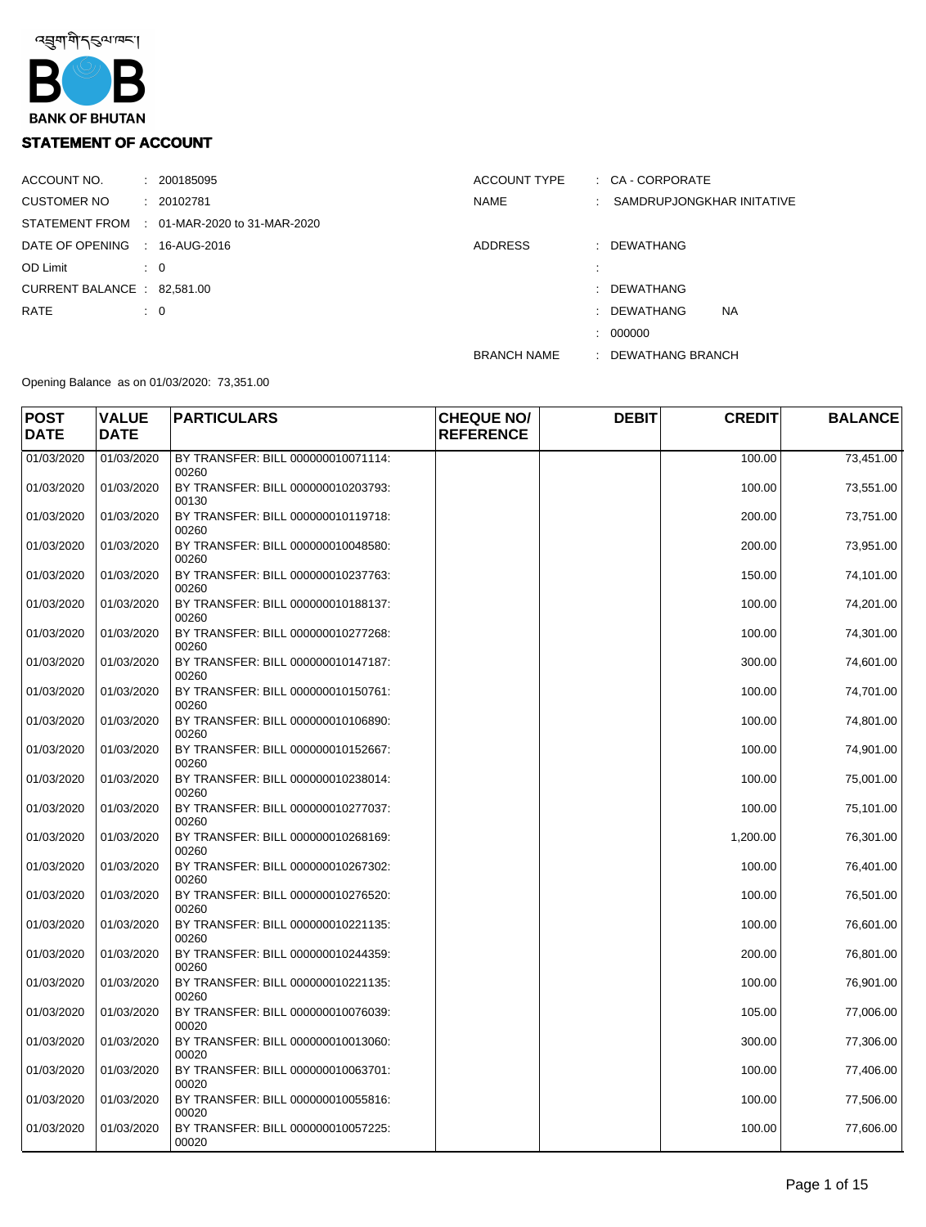

## **STATEMENT OF ACCOUNT**

| ACCOUNT NO.                   |                | : 200185095                                 | ACCOUNT TYPE       | $\therefore$ CA - CORPORATE |
|-------------------------------|----------------|---------------------------------------------|--------------------|-----------------------------|
| CUSTOMER NO                   |                | : 20102781                                  | <b>NAME</b>        | : SAMDRUPJONGKHAR INITATIVE |
|                               |                | STATEMENT FROM : 01-MAR-2020 to 31-MAR-2020 |                    |                             |
| DATE OF OPENING : 16-AUG-2016 |                |                                             | <b>ADDRESS</b>     | : DEWATHANG                 |
| OD Limit                      | $\therefore$ 0 |                                             |                    |                             |
| CURRENT BALANCE : 82,581.00   |                |                                             |                    | : DEWATHANG                 |
| RATE                          | $\therefore$ 0 |                                             |                    | <b>NA</b><br>: DEWATHANG    |
|                               |                |                                             |                    | : 000000                    |
|                               |                |                                             | <b>BRANCH NAME</b> | : DEWATHANG BRANCH          |

Opening Balance as on 01/03/2020: 73,351.00

| <b>POST</b><br><b>DATE</b> | <b>VALUE</b><br><b>DATE</b> | <b>PARTICULARS</b>                          | <b>CHEQUE NO/</b><br><b>REFERENCE</b> | <b>DEBIT</b> | <b>CREDIT</b> | <b>BALANCE</b> |
|----------------------------|-----------------------------|---------------------------------------------|---------------------------------------|--------------|---------------|----------------|
| 01/03/2020                 | 01/03/2020                  | BY TRANSFER: BILL 000000010071114:<br>00260 |                                       |              | 100.00        | 73,451.00      |
| 01/03/2020                 | 01/03/2020                  | BY TRANSFER: BILL 000000010203793:<br>00130 |                                       |              | 100.00        | 73,551.00      |
| 01/03/2020                 | 01/03/2020                  | BY TRANSFER: BILL 000000010119718:<br>00260 |                                       |              | 200.00        | 73,751.00      |
| 01/03/2020                 | 01/03/2020                  | BY TRANSFER: BILL 000000010048580:<br>00260 |                                       |              | 200.00        | 73,951.00      |
| 01/03/2020                 | 01/03/2020                  | BY TRANSFER: BILL 000000010237763:<br>00260 |                                       |              | 150.00        | 74,101.00      |
| 01/03/2020                 | 01/03/2020                  | BY TRANSFER: BILL 000000010188137:<br>00260 |                                       |              | 100.00        | 74,201.00      |
| 01/03/2020                 | 01/03/2020                  | BY TRANSFER: BILL 000000010277268:<br>00260 |                                       |              | 100.00        | 74,301.00      |
| 01/03/2020                 | 01/03/2020                  | BY TRANSFER: BILL 000000010147187:<br>00260 |                                       |              | 300.00        | 74,601.00      |
| 01/03/2020                 | 01/03/2020                  | BY TRANSFER: BILL 000000010150761:<br>00260 |                                       |              | 100.00        | 74,701.00      |
| 01/03/2020                 | 01/03/2020                  | BY TRANSFER: BILL 000000010106890:<br>00260 |                                       |              | 100.00        | 74,801.00      |
| 01/03/2020                 | 01/03/2020                  | BY TRANSFER: BILL 000000010152667:<br>00260 |                                       |              | 100.00        | 74,901.00      |
| 01/03/2020                 | 01/03/2020                  | BY TRANSFER: BILL 000000010238014:<br>00260 |                                       |              | 100.00        | 75,001.00      |
| 01/03/2020                 | 01/03/2020                  | BY TRANSFER: BILL 000000010277037:<br>00260 |                                       |              | 100.00        | 75,101.00      |
| 01/03/2020                 | 01/03/2020                  | BY TRANSFER: BILL 000000010268169:<br>00260 |                                       |              | 1,200.00      | 76,301.00      |
| 01/03/2020                 | 01/03/2020                  | BY TRANSFER: BILL 000000010267302:<br>00260 |                                       |              | 100.00        | 76,401.00      |
| 01/03/2020                 | 01/03/2020                  | BY TRANSFER: BILL 000000010276520:<br>00260 |                                       |              | 100.00        | 76,501.00      |
| 01/03/2020                 | 01/03/2020                  | BY TRANSFER: BILL 000000010221135:<br>00260 |                                       |              | 100.00        | 76,601.00      |
| 01/03/2020                 | 01/03/2020                  | BY TRANSFER: BILL 000000010244359:<br>00260 |                                       |              | 200.00        | 76,801.00      |
| 01/03/2020                 | 01/03/2020                  | BY TRANSFER: BILL 000000010221135:<br>00260 |                                       |              | 100.00        | 76,901.00      |
| 01/03/2020                 | 01/03/2020                  | BY TRANSFER: BILL 000000010076039:<br>00020 |                                       |              | 105.00        | 77,006.00      |
| 01/03/2020                 | 01/03/2020                  | BY TRANSFER: BILL 000000010013060:<br>00020 |                                       |              | 300.00        | 77,306.00      |
| 01/03/2020                 | 01/03/2020                  | BY TRANSFER: BILL 000000010063701:<br>00020 |                                       |              | 100.00        | 77,406.00      |
| 01/03/2020                 | 01/03/2020                  | BY TRANSFER: BILL 000000010055816:<br>00020 |                                       |              | 100.00        | 77,506.00      |
| 01/03/2020                 | 01/03/2020                  | BY TRANSFER: BILL 000000010057225:<br>00020 |                                       |              | 100.00        | 77,606.00      |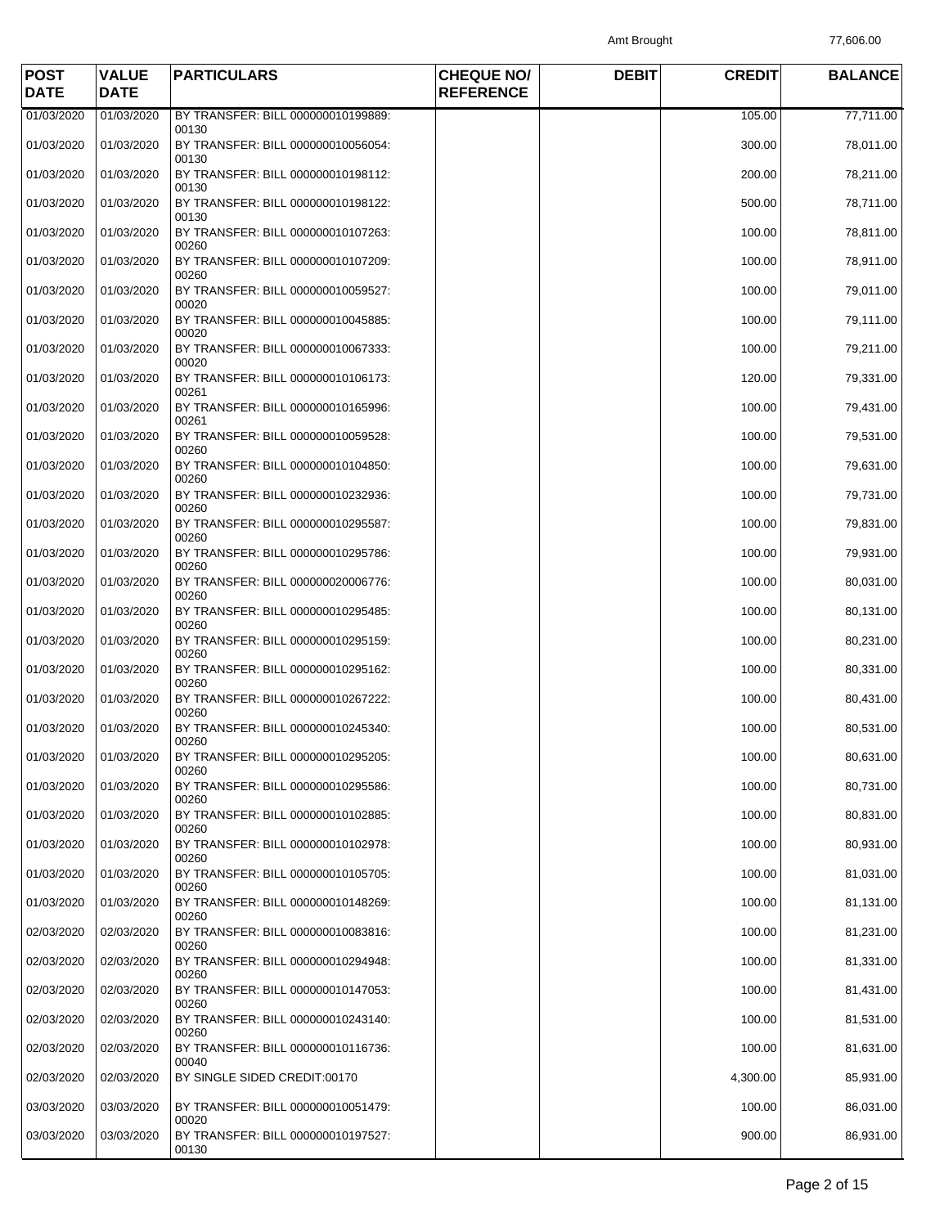Amt Brought 77,606.00

| <b>POST</b><br><b>DATE</b> | <b>VALUE</b><br><b>DATE</b> | <b>PARTICULARS</b>                                   | <b>CHEQUE NO/</b><br><b>REFERENCE</b> | <b>DEBIT</b> | <b>CREDIT</b> | <b>BALANCE</b> |
|----------------------------|-----------------------------|------------------------------------------------------|---------------------------------------|--------------|---------------|----------------|
| 01/03/2020                 | 01/03/2020                  | BY TRANSFER: BILL 000000010199889:                   |                                       |              | 105.00        | 77,711.00      |
| 01/03/2020                 | 01/03/2020                  | 00130<br>BY TRANSFER: BILL 000000010056054:<br>00130 |                                       |              | 300.00        | 78,011.00      |
| 01/03/2020                 | 01/03/2020                  | BY TRANSFER: BILL 000000010198112:<br>00130          |                                       |              | 200.00        | 78,211.00      |
| 01/03/2020                 | 01/03/2020                  | BY TRANSFER: BILL 000000010198122:<br>00130          |                                       |              | 500.00        | 78,711.00      |
| 01/03/2020                 | 01/03/2020                  | BY TRANSFER: BILL 000000010107263:<br>00260          |                                       |              | 100.00        | 78,811.00      |
| 01/03/2020                 | 01/03/2020                  | BY TRANSFER: BILL 000000010107209:<br>00260          |                                       |              | 100.00        | 78,911.00      |
| 01/03/2020                 | 01/03/2020                  | BY TRANSFER: BILL 000000010059527:<br>00020          |                                       |              | 100.00        | 79,011.00      |
| 01/03/2020                 | 01/03/2020                  | BY TRANSFER: BILL 000000010045885:<br>00020          |                                       |              | 100.00        | 79,111.00      |
| 01/03/2020                 | 01/03/2020                  | BY TRANSFER: BILL 000000010067333:<br>00020          |                                       |              | 100.00        | 79,211.00      |
| 01/03/2020                 | 01/03/2020                  | BY TRANSFER: BILL 000000010106173:<br>00261          |                                       |              | 120.00        | 79,331.00      |
| 01/03/2020                 | 01/03/2020                  | BY TRANSFER: BILL 000000010165996:<br>00261          |                                       |              | 100.00        | 79,431.00      |
| 01/03/2020                 | 01/03/2020                  | BY TRANSFER: BILL 000000010059528:<br>00260          |                                       |              | 100.00        | 79,531.00      |
| 01/03/2020                 | 01/03/2020                  | BY TRANSFER: BILL 000000010104850:<br>00260          |                                       |              | 100.00        | 79,631.00      |
| 01/03/2020                 | 01/03/2020                  | BY TRANSFER: BILL 000000010232936:<br>00260          |                                       |              | 100.00        | 79,731.00      |
| 01/03/2020                 | 01/03/2020                  | BY TRANSFER: BILL 000000010295587:<br>00260          |                                       |              | 100.00        | 79,831.00      |
| 01/03/2020                 | 01/03/2020                  | BY TRANSFER: BILL 000000010295786:<br>00260          |                                       |              | 100.00        | 79,931.00      |
| 01/03/2020                 | 01/03/2020                  | BY TRANSFER: BILL 000000020006776:<br>00260          |                                       |              | 100.00        | 80,031.00      |
| 01/03/2020                 | 01/03/2020                  | BY TRANSFER: BILL 000000010295485:<br>00260          |                                       |              | 100.00        | 80,131.00      |
| 01/03/2020                 | 01/03/2020                  | BY TRANSFER: BILL 000000010295159:<br>00260          |                                       |              | 100.00        | 80,231.00      |
| 01/03/2020                 | 01/03/2020                  | BY TRANSFER: BILL 000000010295162:<br>00260          |                                       |              | 100.00        | 80,331.00      |
| 01/03/2020                 | 01/03/2020                  | BY TRANSFER: BILL 000000010267222:<br>00260          |                                       |              | 100.00        | 80,431.00      |
| 01/03/2020                 | 01/03/2020                  | BY TRANSFER: BILL 000000010245340:<br>00260          |                                       |              | 100.00        | 80,531.00      |
| 01/03/2020                 | 01/03/2020                  | BY TRANSFER: BILL 000000010295205:<br>00260          |                                       |              | 100.00        | 80,631.00      |
| 01/03/2020                 | 01/03/2020                  | BY TRANSFER: BILL 000000010295586:<br>00260          |                                       |              | 100.00        | 80,731.00      |
| 01/03/2020                 | 01/03/2020                  | BY TRANSFER: BILL 000000010102885:<br>00260          |                                       |              | 100.00        | 80,831.00      |
| 01/03/2020                 | 01/03/2020                  | BY TRANSFER: BILL 000000010102978:<br>00260          |                                       |              | 100.00        | 80,931.00      |
| 01/03/2020                 | 01/03/2020                  | BY TRANSFER: BILL 000000010105705:<br>00260          |                                       |              | 100.00        | 81,031.00      |
| 01/03/2020                 | 01/03/2020                  | BY TRANSFER: BILL 000000010148269:<br>00260          |                                       |              | 100.00        | 81,131.00      |
| 02/03/2020                 | 02/03/2020                  | BY TRANSFER: BILL 000000010083816:<br>00260          |                                       |              | 100.00        | 81,231.00      |
| 02/03/2020                 | 02/03/2020                  | BY TRANSFER: BILL 000000010294948:<br>00260          |                                       |              | 100.00        | 81,331.00      |
| 02/03/2020                 | 02/03/2020                  | BY TRANSFER: BILL 000000010147053:<br>00260          |                                       |              | 100.00        | 81,431.00      |
| 02/03/2020                 | 02/03/2020                  | BY TRANSFER: BILL 000000010243140:<br>00260          |                                       |              | 100.00        | 81,531.00      |
| 02/03/2020                 | 02/03/2020                  | BY TRANSFER: BILL 000000010116736:<br>00040          |                                       |              | 100.00        | 81,631.00      |
| 02/03/2020                 | 02/03/2020                  | BY SINGLE SIDED CREDIT:00170                         |                                       |              | 4,300.00      | 85,931.00      |
| 03/03/2020                 | 03/03/2020                  | BY TRANSFER: BILL 000000010051479:<br>00020          |                                       |              | 100.00        | 86,031.00      |
| 03/03/2020                 | 03/03/2020                  | BY TRANSFER: BILL 000000010197527:<br>00130          |                                       |              | 900.00        | 86,931.00      |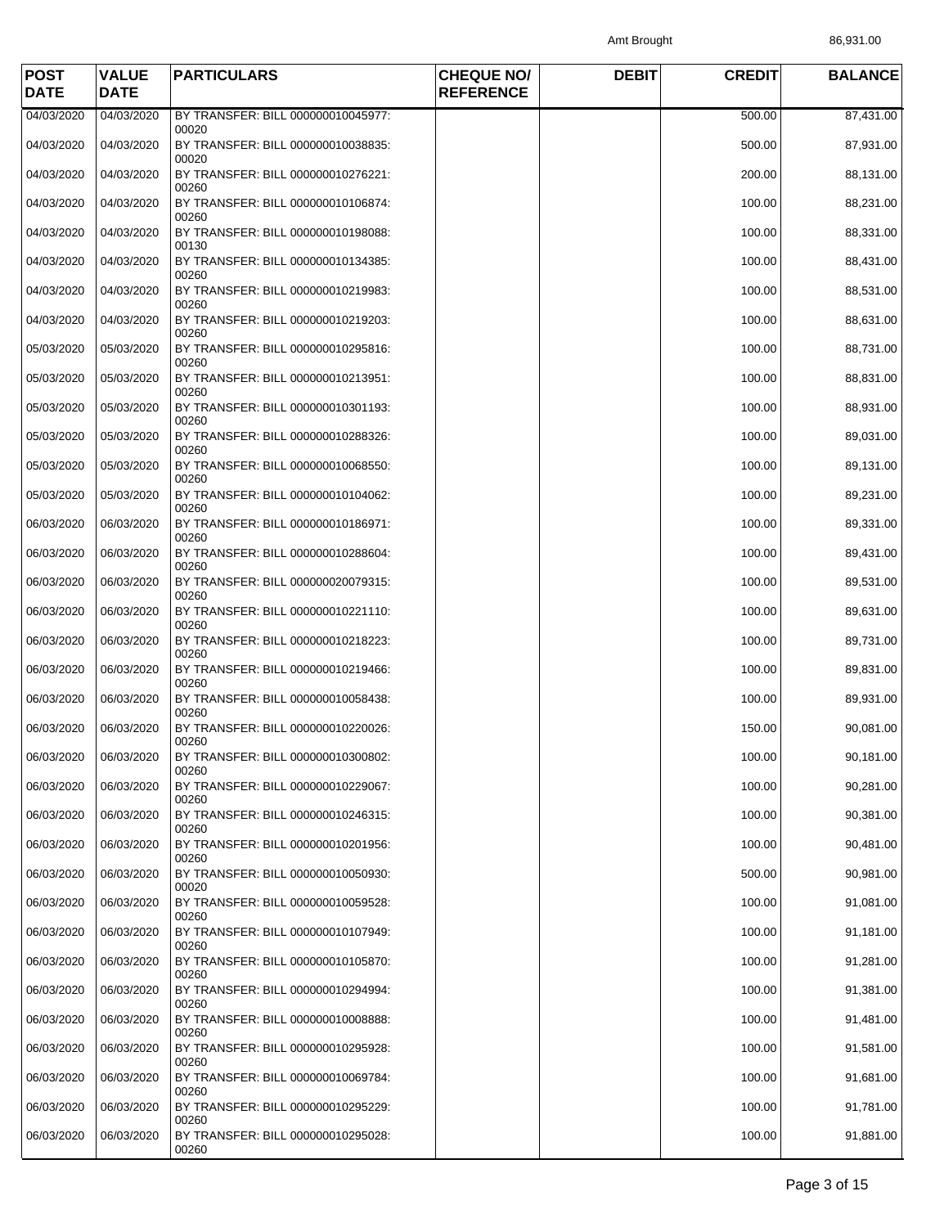Amt Brought 86,931.00

| <b>POST</b><br><b>DATE</b> | <b>VALUE</b><br><b>DATE</b> | <b>PARTICULARS</b>                                   | <b>CHEQUE NO/</b><br><b>REFERENCE</b> | <b>DEBIT</b> | <b>CREDIT</b> | <b>BALANCE</b> |
|----------------------------|-----------------------------|------------------------------------------------------|---------------------------------------|--------------|---------------|----------------|
| 04/03/2020                 | 04/03/2020                  | BY TRANSFER: BILL 000000010045977:                   |                                       |              | 500.00        | 87,431.00      |
| 04/03/2020                 | 04/03/2020                  | 00020<br>BY TRANSFER: BILL 000000010038835:<br>00020 |                                       |              | 500.00        | 87,931.00      |
| 04/03/2020                 | 04/03/2020                  | BY TRANSFER: BILL 000000010276221:<br>00260          |                                       |              | 200.00        | 88,131.00      |
| 04/03/2020                 | 04/03/2020                  | BY TRANSFER: BILL 000000010106874:<br>00260          |                                       |              | 100.00        | 88,231.00      |
| 04/03/2020                 | 04/03/2020                  | BY TRANSFER: BILL 000000010198088:<br>00130          |                                       |              | 100.00        | 88,331.00      |
| 04/03/2020                 | 04/03/2020                  | BY TRANSFER: BILL 000000010134385:<br>00260          |                                       |              | 100.00        | 88,431.00      |
| 04/03/2020                 | 04/03/2020                  | BY TRANSFER: BILL 000000010219983:<br>00260          |                                       |              | 100.00        | 88,531.00      |
| 04/03/2020                 | 04/03/2020                  | BY TRANSFER: BILL 000000010219203:<br>00260          |                                       |              | 100.00        | 88,631.00      |
| 05/03/2020                 | 05/03/2020                  | BY TRANSFER: BILL 000000010295816:<br>00260          |                                       |              | 100.00        | 88,731.00      |
| 05/03/2020                 | 05/03/2020                  | BY TRANSFER: BILL 000000010213951:<br>00260          |                                       |              | 100.00        | 88,831.00      |
| 05/03/2020                 | 05/03/2020                  | BY TRANSFER: BILL 000000010301193:<br>00260          |                                       |              | 100.00        | 88,931.00      |
| 05/03/2020                 | 05/03/2020                  | BY TRANSFER: BILL 000000010288326:<br>00260          |                                       |              | 100.00        | 89,031.00      |
| 05/03/2020                 | 05/03/2020                  | BY TRANSFER: BILL 000000010068550:<br>00260          |                                       |              | 100.00        | 89,131.00      |
| 05/03/2020                 | 05/03/2020                  | BY TRANSFER: BILL 000000010104062:<br>00260          |                                       |              | 100.00        | 89,231.00      |
| 06/03/2020                 | 06/03/2020                  | BY TRANSFER: BILL 000000010186971:<br>00260          |                                       |              | 100.00        | 89,331.00      |
| 06/03/2020                 | 06/03/2020                  | BY TRANSFER: BILL 000000010288604:<br>00260          |                                       |              | 100.00        | 89,431.00      |
| 06/03/2020                 | 06/03/2020                  | BY TRANSFER: BILL 000000020079315:<br>00260          |                                       |              | 100.00        | 89,531.00      |
| 06/03/2020                 | 06/03/2020                  | BY TRANSFER: BILL 000000010221110:<br>00260          |                                       |              | 100.00        | 89,631.00      |
| 06/03/2020                 | 06/03/2020                  | BY TRANSFER: BILL 000000010218223:<br>00260          |                                       |              | 100.00        | 89,731.00      |
| 06/03/2020                 | 06/03/2020                  | BY TRANSFER: BILL 000000010219466:<br>00260          |                                       |              | 100.00        | 89,831.00      |
| 06/03/2020                 | 06/03/2020                  | BY TRANSFER: BILL 000000010058438:<br>00260          |                                       |              | 100.00        | 89,931.00      |
| 06/03/2020                 | 06/03/2020                  | BY TRANSFER: BILL 000000010220026:<br>00260          |                                       |              | 150.00        | 90,081.00      |
| 06/03/2020                 | 06/03/2020                  | BY TRANSFER: BILL 000000010300802:<br>00260          |                                       |              | 100.00        | 90,181.00      |
| 06/03/2020                 | 06/03/2020                  | BY TRANSFER: BILL 000000010229067:<br>00260          |                                       |              | 100.00        | 90,281.00      |
| 06/03/2020                 | 06/03/2020                  | BY TRANSFER: BILL 000000010246315:<br>00260          |                                       |              | 100.00        | 90,381.00      |
| 06/03/2020                 | 06/03/2020                  | BY TRANSFER: BILL 000000010201956:<br>00260          |                                       |              | 100.00        | 90,481.00      |
| 06/03/2020                 | 06/03/2020                  | BY TRANSFER: BILL 000000010050930:<br>00020          |                                       |              | 500.00        | 90,981.00      |
| 06/03/2020                 | 06/03/2020                  | BY TRANSFER: BILL 000000010059528:<br>00260          |                                       |              | 100.00        | 91,081.00      |
| 06/03/2020                 | 06/03/2020                  | BY TRANSFER: BILL 000000010107949:<br>00260          |                                       |              | 100.00        | 91,181.00      |
| 06/03/2020                 | 06/03/2020                  | BY TRANSFER: BILL 000000010105870:<br>00260          |                                       |              | 100.00        | 91,281.00      |
| 06/03/2020                 | 06/03/2020                  | BY TRANSFER: BILL 000000010294994:<br>00260          |                                       |              | 100.00        | 91,381.00      |
| 06/03/2020                 | 06/03/2020                  | BY TRANSFER: BILL 000000010008888:<br>00260          |                                       |              | 100.00        | 91,481.00      |
| 06/03/2020                 | 06/03/2020                  | BY TRANSFER: BILL 000000010295928:<br>00260          |                                       |              | 100.00        | 91,581.00      |
| 06/03/2020                 | 06/03/2020                  | BY TRANSFER: BILL 000000010069784:<br>00260          |                                       |              | 100.00        | 91,681.00      |
| 06/03/2020                 | 06/03/2020                  | BY TRANSFER: BILL 000000010295229:<br>00260          |                                       |              | 100.00        | 91,781.00      |
| 06/03/2020                 | 06/03/2020                  | BY TRANSFER: BILL 000000010295028:<br>00260          |                                       |              | 100.00        | 91,881.00      |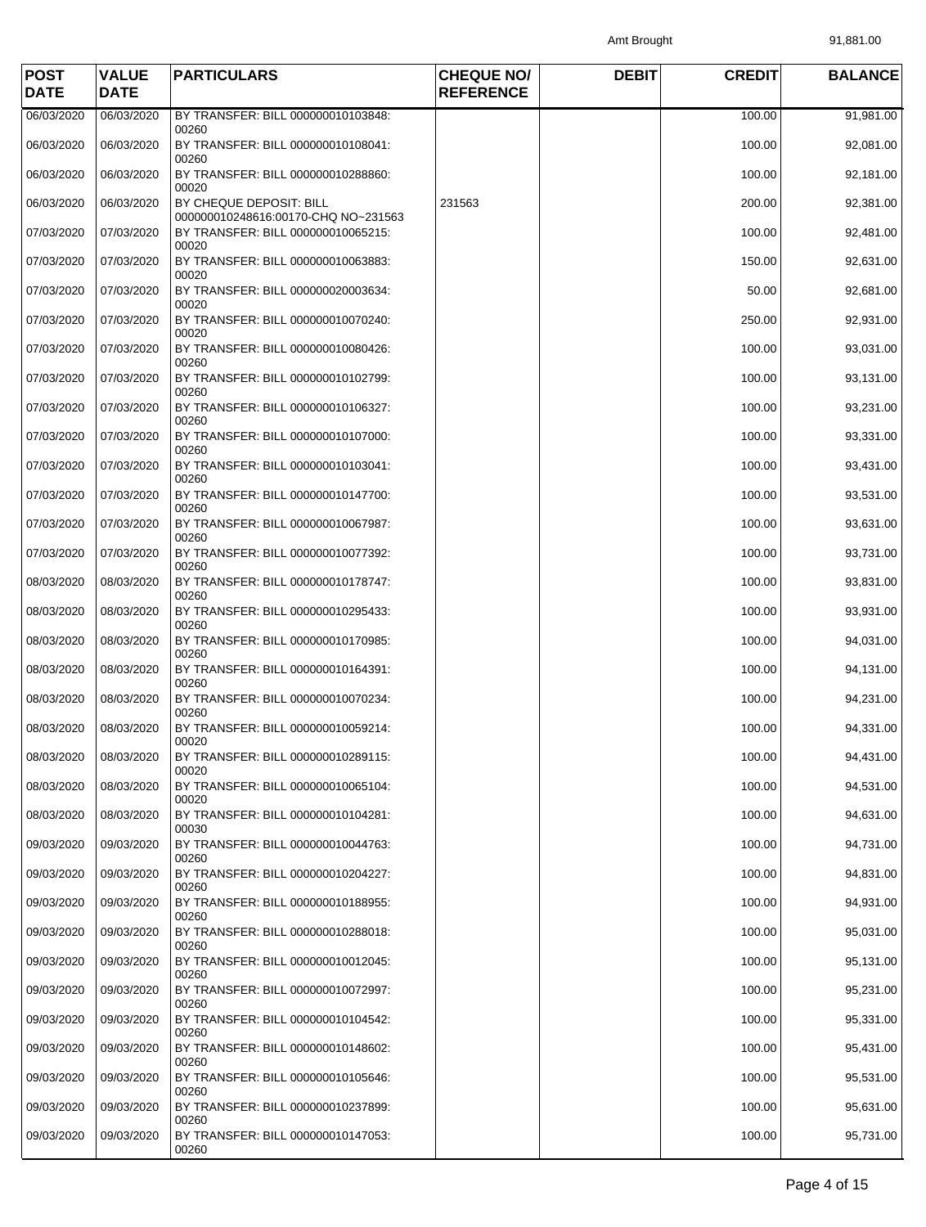| <b>POST</b><br><b>DATE</b> | <b>VALUE</b><br><b>DATE</b> | <b>PARTICULARS</b>                                             | <b>CHEQUE NO/</b><br><b>REFERENCE</b> | <b>DEBIT</b> | <b>CREDIT</b> | <b>BALANCE</b> |
|----------------------------|-----------------------------|----------------------------------------------------------------|---------------------------------------|--------------|---------------|----------------|
| 06/03/2020                 | 06/03/2020                  | BY TRANSFER: BILL 000000010103848:                             |                                       |              | 100.00        | 91,981.00      |
| 06/03/2020                 | 06/03/2020                  | 00260<br>BY TRANSFER: BILL 000000010108041:<br>00260           |                                       |              | 100.00        | 92,081.00      |
| 06/03/2020                 | 06/03/2020                  | BY TRANSFER: BILL 000000010288860:<br>00020                    |                                       |              | 100.00        | 92,181.00      |
| 06/03/2020                 | 06/03/2020                  | BY CHEQUE DEPOSIT: BILL<br>000000010248616:00170-CHQ NO~231563 | 231563                                |              | 200.00        | 92,381.00      |
| 07/03/2020                 | 07/03/2020                  | BY TRANSFER: BILL 000000010065215:<br>00020                    |                                       |              | 100.00        | 92,481.00      |
| 07/03/2020                 | 07/03/2020                  | BY TRANSFER: BILL 000000010063883:<br>00020                    |                                       |              | 150.00        | 92,631.00      |
| 07/03/2020                 | 07/03/2020                  | BY TRANSFER: BILL 000000020003634:<br>00020                    |                                       |              | 50.00         | 92,681.00      |
| 07/03/2020                 | 07/03/2020                  | BY TRANSFER: BILL 000000010070240:<br>00020                    |                                       |              | 250.00        | 92,931.00      |
| 07/03/2020                 | 07/03/2020                  | BY TRANSFER: BILL 000000010080426:<br>00260                    |                                       |              | 100.00        | 93,031.00      |
| 07/03/2020                 | 07/03/2020                  | BY TRANSFER: BILL 000000010102799:<br>00260                    |                                       |              | 100.00        | 93,131.00      |
| 07/03/2020                 | 07/03/2020                  | BY TRANSFER: BILL 000000010106327:<br>00260                    |                                       |              | 100.00        | 93,231.00      |
| 07/03/2020                 | 07/03/2020                  | BY TRANSFER: BILL 000000010107000:<br>00260                    |                                       |              | 100.00        | 93,331.00      |
| 07/03/2020                 | 07/03/2020                  | BY TRANSFER: BILL 000000010103041:<br>00260                    |                                       |              | 100.00        | 93,431.00      |
| 07/03/2020                 | 07/03/2020                  | BY TRANSFER: BILL 000000010147700:<br>00260                    |                                       |              | 100.00        | 93,531.00      |
| 07/03/2020                 | 07/03/2020                  | BY TRANSFER: BILL 000000010067987:<br>00260                    |                                       |              | 100.00        | 93,631.00      |
| 07/03/2020                 | 07/03/2020                  | BY TRANSFER: BILL 000000010077392:<br>00260                    |                                       |              | 100.00        | 93,731.00      |
| 08/03/2020                 | 08/03/2020                  | BY TRANSFER: BILL 000000010178747:<br>00260                    |                                       |              | 100.00        | 93,831.00      |
| 08/03/2020                 | 08/03/2020                  | BY TRANSFER: BILL 000000010295433:<br>00260                    |                                       |              | 100.00        | 93,931.00      |
| 08/03/2020                 | 08/03/2020                  | BY TRANSFER: BILL 000000010170985:<br>00260                    |                                       |              | 100.00        | 94,031.00      |
| 08/03/2020                 | 08/03/2020                  | BY TRANSFER: BILL 000000010164391:<br>00260                    |                                       |              | 100.00        | 94,131.00      |
| 08/03/2020                 | 08/03/2020                  | BY TRANSFER: BILL 000000010070234:<br>00260                    |                                       |              | 100.00        | 94,231.00      |
| 08/03/2020                 | 08/03/2020                  | BY TRANSFER: BILL 000000010059214:<br>00020                    |                                       |              | 100.00        | 94,331.00      |
| 08/03/2020                 | 08/03/2020                  | BY TRANSFER: BILL 000000010289115:<br>00020                    |                                       |              | 100.00        | 94,431.00      |
| 08/03/2020                 | 08/03/2020                  | BY TRANSFER: BILL 000000010065104:<br>00020                    |                                       |              | 100.00        | 94,531.00      |
| 08/03/2020                 | 08/03/2020                  | BY TRANSFER: BILL 000000010104281:<br>00030                    |                                       |              | 100.00        | 94,631.00      |
| 09/03/2020                 | 09/03/2020                  | BY TRANSFER: BILL 000000010044763:<br>00260                    |                                       |              | 100.00        | 94,731.00      |
| 09/03/2020                 | 09/03/2020                  | BY TRANSFER: BILL 000000010204227:<br>00260                    |                                       |              | 100.00        | 94,831.00      |
| 09/03/2020                 | 09/03/2020                  | BY TRANSFER: BILL 000000010188955:<br>00260                    |                                       |              | 100.00        | 94,931.00      |
| 09/03/2020                 | 09/03/2020                  | BY TRANSFER: BILL 000000010288018:<br>00260                    |                                       |              | 100.00        | 95,031.00      |
| 09/03/2020                 | 09/03/2020                  | BY TRANSFER: BILL 000000010012045:<br>00260                    |                                       |              | 100.00        | 95,131.00      |
| 09/03/2020                 | 09/03/2020                  | BY TRANSFER: BILL 000000010072997:<br>00260                    |                                       |              | 100.00        | 95,231.00      |
| 09/03/2020                 | 09/03/2020                  | BY TRANSFER: BILL 000000010104542:<br>00260                    |                                       |              | 100.00        | 95,331.00      |
| 09/03/2020                 | 09/03/2020                  | BY TRANSFER: BILL 000000010148602:<br>00260                    |                                       |              | 100.00        | 95,431.00      |
| 09/03/2020                 | 09/03/2020                  | BY TRANSFER: BILL 000000010105646:<br>00260                    |                                       |              | 100.00        | 95,531.00      |
| 09/03/2020                 | 09/03/2020                  | BY TRANSFER: BILL 000000010237899:<br>00260                    |                                       |              | 100.00        | 95,631.00      |
| 09/03/2020                 | 09/03/2020                  | BY TRANSFER: BILL 000000010147053:<br>00260                    |                                       |              | 100.00        | 95,731.00      |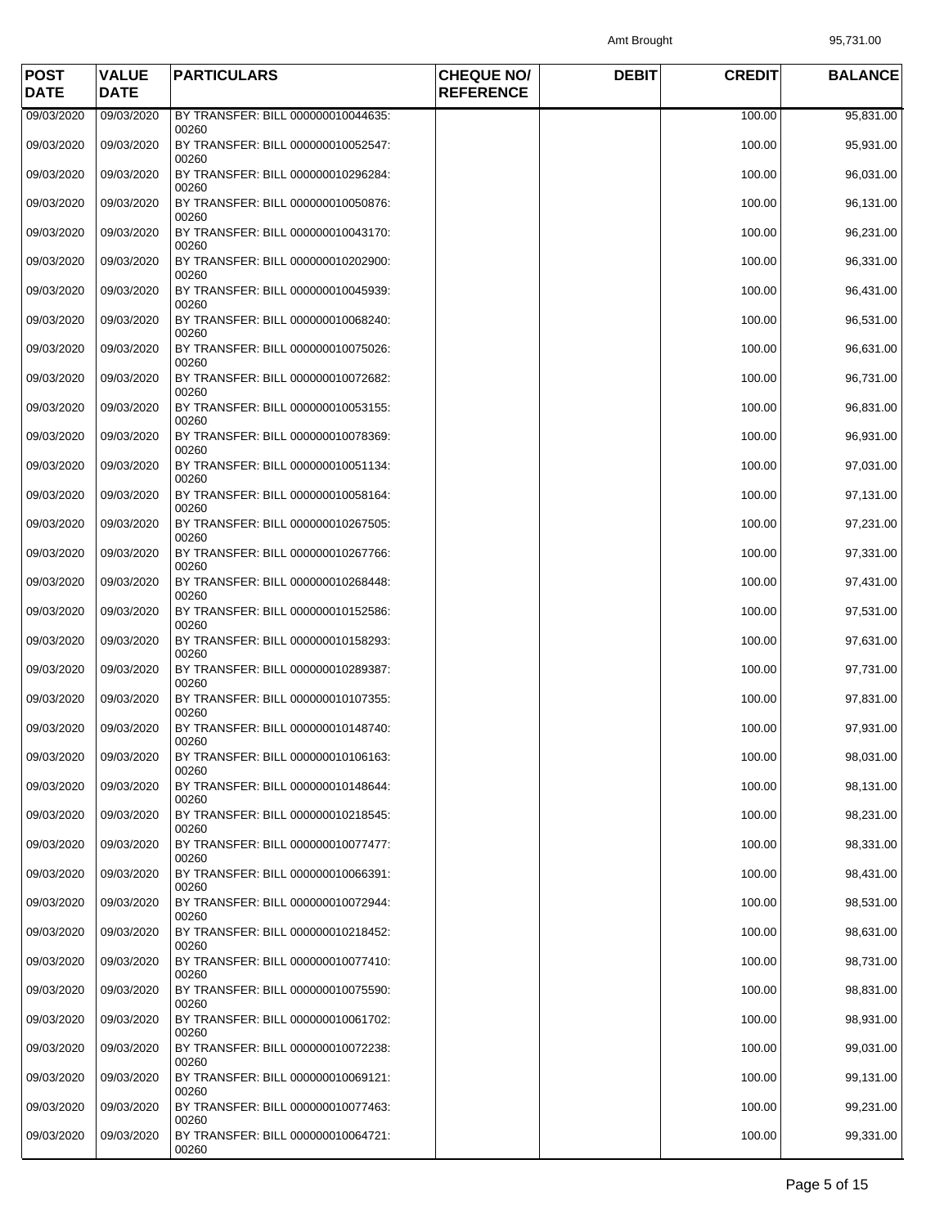Amt Brought 95,731.00

| <b>POST</b><br><b>DATE</b> | <b>VALUE</b><br><b>DATE</b> | <b>PARTICULARS</b>                                   | <b>CHEQUE NO/</b><br><b>REFERENCE</b> | <b>DEBIT</b> | <b>CREDIT</b> | <b>BALANCE</b> |
|----------------------------|-----------------------------|------------------------------------------------------|---------------------------------------|--------------|---------------|----------------|
| 09/03/2020                 | 09/03/2020                  | BY TRANSFER: BILL 000000010044635:                   |                                       |              | 100.00        | 95,831.00      |
| 09/03/2020                 | 09/03/2020                  | 00260<br>BY TRANSFER: BILL 000000010052547:<br>00260 |                                       |              | 100.00        | 95,931.00      |
| 09/03/2020                 | 09/03/2020                  | BY TRANSFER: BILL 000000010296284:<br>00260          |                                       |              | 100.00        | 96,031.00      |
| 09/03/2020                 | 09/03/2020                  | BY TRANSFER: BILL 000000010050876:<br>00260          |                                       |              | 100.00        | 96,131.00      |
| 09/03/2020                 | 09/03/2020                  | BY TRANSFER: BILL 000000010043170:<br>00260          |                                       |              | 100.00        | 96,231.00      |
| 09/03/2020                 | 09/03/2020                  | BY TRANSFER: BILL 000000010202900:<br>00260          |                                       |              | 100.00        | 96,331.00      |
| 09/03/2020                 | 09/03/2020                  | BY TRANSFER: BILL 000000010045939:<br>00260          |                                       |              | 100.00        | 96,431.00      |
| 09/03/2020                 | 09/03/2020                  | BY TRANSFER: BILL 000000010068240:<br>00260          |                                       |              | 100.00        | 96,531.00      |
| 09/03/2020                 | 09/03/2020                  | BY TRANSFER: BILL 000000010075026:<br>00260          |                                       |              | 100.00        | 96,631.00      |
| 09/03/2020                 | 09/03/2020                  | BY TRANSFER: BILL 000000010072682:<br>00260          |                                       |              | 100.00        | 96,731.00      |
| 09/03/2020                 | 09/03/2020                  | BY TRANSFER: BILL 000000010053155:<br>00260          |                                       |              | 100.00        | 96,831.00      |
| 09/03/2020                 | 09/03/2020                  | BY TRANSFER: BILL 000000010078369:<br>00260          |                                       |              | 100.00        | 96,931.00      |
| 09/03/2020                 | 09/03/2020                  | BY TRANSFER: BILL 000000010051134:<br>00260          |                                       |              | 100.00        | 97,031.00      |
| 09/03/2020                 | 09/03/2020                  | BY TRANSFER: BILL 000000010058164:<br>00260          |                                       |              | 100.00        | 97,131.00      |
| 09/03/2020                 | 09/03/2020                  | BY TRANSFER: BILL 000000010267505:<br>00260          |                                       |              | 100.00        | 97,231.00      |
| 09/03/2020                 | 09/03/2020                  | BY TRANSFER: BILL 000000010267766:<br>00260          |                                       |              | 100.00        | 97,331.00      |
| 09/03/2020                 | 09/03/2020                  | BY TRANSFER: BILL 000000010268448:<br>00260          |                                       |              | 100.00        | 97,431.00      |
| 09/03/2020                 | 09/03/2020                  | BY TRANSFER: BILL 000000010152586:<br>00260          |                                       |              | 100.00        | 97,531.00      |
| 09/03/2020                 | 09/03/2020                  | BY TRANSFER: BILL 000000010158293:<br>00260          |                                       |              | 100.00        | 97,631.00      |
| 09/03/2020                 | 09/03/2020                  | BY TRANSFER: BILL 000000010289387:<br>00260          |                                       |              | 100.00        | 97,731.00      |
| 09/03/2020                 | 09/03/2020                  | BY TRANSFER: BILL 000000010107355:<br>00260          |                                       |              | 100.00        | 97,831.00      |
| 09/03/2020                 | 09/03/2020                  | BY TRANSFER: BILL 000000010148740:<br>00260          |                                       |              | 100.00        | 97,931.00      |
| 09/03/2020                 | 09/03/2020                  | BY TRANSFER: BILL 000000010106163:<br>00260          |                                       |              | 100.00        | 98,031.00      |
| 09/03/2020                 | 09/03/2020                  | BY TRANSFER: BILL 000000010148644:<br>00260          |                                       |              | 100.00        | 98,131.00      |
| 09/03/2020                 | 09/03/2020                  | BY TRANSFER: BILL 000000010218545:<br>00260          |                                       |              | 100.00        | 98,231.00      |
| 09/03/2020                 | 09/03/2020                  | BY TRANSFER: BILL 000000010077477:<br>00260          |                                       |              | 100.00        | 98,331.00      |
| 09/03/2020                 | 09/03/2020                  | BY TRANSFER: BILL 000000010066391:<br>00260          |                                       |              | 100.00        | 98,431.00      |
| 09/03/2020                 | 09/03/2020                  | BY TRANSFER: BILL 000000010072944:<br>00260          |                                       |              | 100.00        | 98,531.00      |
| 09/03/2020                 | 09/03/2020                  | BY TRANSFER: BILL 000000010218452:<br>00260          |                                       |              | 100.00        | 98,631.00      |
| 09/03/2020                 | 09/03/2020                  | BY TRANSFER: BILL 000000010077410:<br>00260          |                                       |              | 100.00        | 98,731.00      |
| 09/03/2020                 | 09/03/2020                  | BY TRANSFER: BILL 000000010075590:<br>00260          |                                       |              | 100.00        | 98,831.00      |
| 09/03/2020                 | 09/03/2020                  | BY TRANSFER: BILL 000000010061702:<br>00260          |                                       |              | 100.00        | 98,931.00      |
| 09/03/2020                 | 09/03/2020                  | BY TRANSFER: BILL 000000010072238:<br>00260          |                                       |              | 100.00        | 99,031.00      |
| 09/03/2020                 | 09/03/2020                  | BY TRANSFER: BILL 000000010069121:<br>00260          |                                       |              | 100.00        | 99,131.00      |
| 09/03/2020                 | 09/03/2020                  | BY TRANSFER: BILL 000000010077463:<br>00260          |                                       |              | 100.00        | 99,231.00      |
| 09/03/2020                 | 09/03/2020                  | BY TRANSFER: BILL 000000010064721:<br>00260          |                                       |              | 100.00        | 99,331.00      |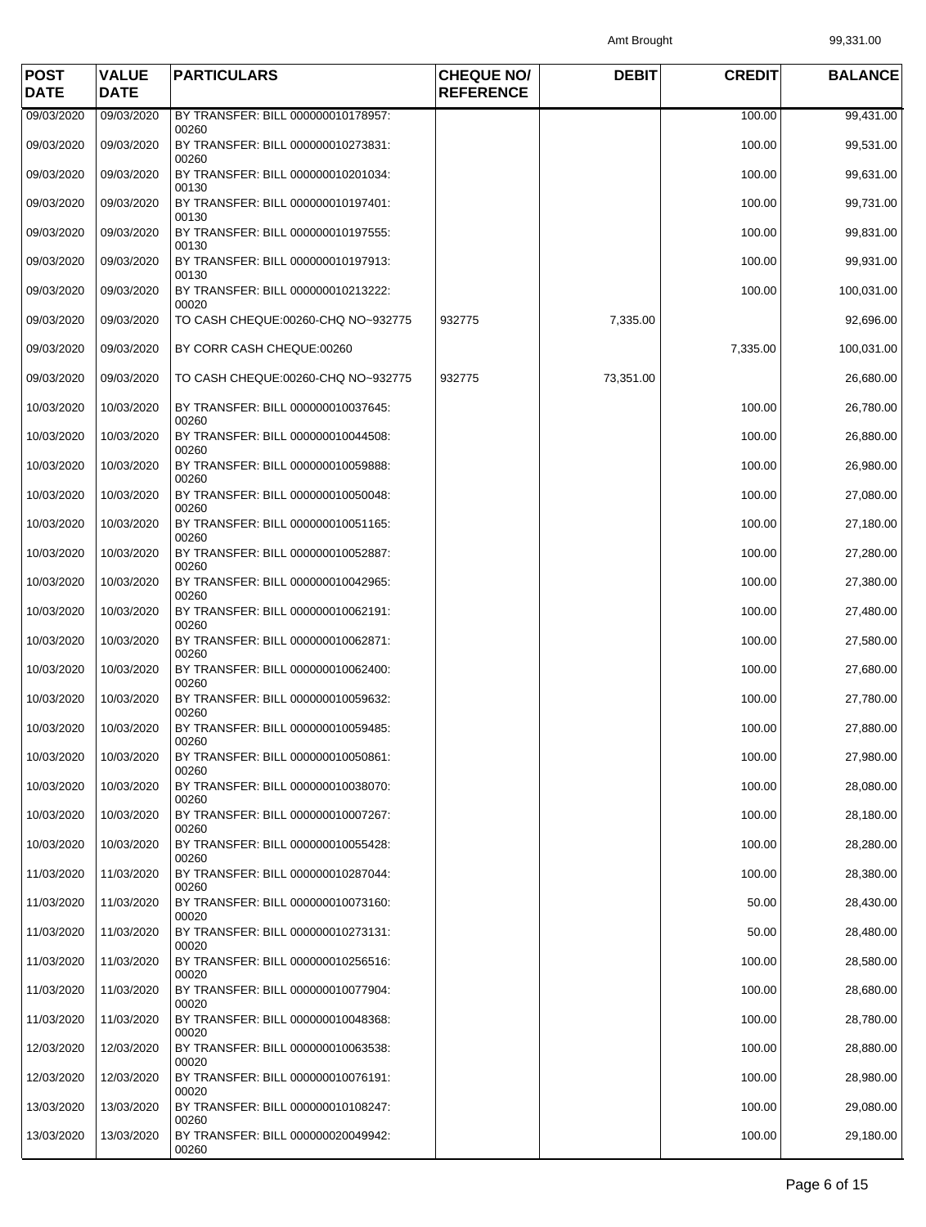Amt Brought 99,331.00

| <b>POST</b><br><b>DATE</b> | <b>VALUE</b><br><b>DATE</b> | <b>PARTICULARS</b>                                   | <b>CHEQUE NO/</b><br><b>REFERENCE</b> | <b>DEBIT</b> | <b>CREDIT</b> | <b>BALANCE</b> |
|----------------------------|-----------------------------|------------------------------------------------------|---------------------------------------|--------------|---------------|----------------|
| 09/03/2020                 | 09/03/2020                  | BY TRANSFER: BILL 000000010178957:                   |                                       |              | 100.00        | 99,431.00      |
| 09/03/2020                 | 09/03/2020                  | 00260<br>BY TRANSFER: BILL 000000010273831:<br>00260 |                                       |              | 100.00        | 99,531.00      |
| 09/03/2020                 | 09/03/2020                  | BY TRANSFER: BILL 000000010201034:<br>00130          |                                       |              | 100.00        | 99,631.00      |
| 09/03/2020                 | 09/03/2020                  | BY TRANSFER: BILL 000000010197401:                   |                                       |              | 100.00        | 99,731.00      |
| 09/03/2020                 | 09/03/2020                  | 00130<br>BY TRANSFER: BILL 000000010197555:<br>00130 |                                       |              | 100.00        | 99,831.00      |
| 09/03/2020                 | 09/03/2020                  | BY TRANSFER: BILL 000000010197913:<br>00130          |                                       |              | 100.00        | 99,931.00      |
| 09/03/2020                 | 09/03/2020                  | BY TRANSFER: BILL 000000010213222:<br>00020          |                                       |              | 100.00        | 100,031.00     |
| 09/03/2020                 | 09/03/2020                  | TO CASH CHEQUE:00260-CHQ NO~932775                   | 932775                                | 7,335.00     |               | 92,696.00      |
| 09/03/2020                 | 09/03/2020                  | BY CORR CASH CHEQUE:00260                            |                                       |              | 7,335.00      | 100,031.00     |
| 09/03/2020                 | 09/03/2020                  | TO CASH CHEQUE:00260-CHQ NO~932775                   | 932775                                | 73,351.00    |               | 26,680.00      |
| 10/03/2020                 | 10/03/2020                  | BY TRANSFER: BILL 000000010037645:<br>00260          |                                       |              | 100.00        | 26,780.00      |
| 10/03/2020                 | 10/03/2020                  | BY TRANSFER: BILL 000000010044508:<br>00260          |                                       |              | 100.00        | 26,880.00      |
| 10/03/2020                 | 10/03/2020                  | BY TRANSFER: BILL 000000010059888:<br>00260          |                                       |              | 100.00        | 26,980.00      |
| 10/03/2020                 | 10/03/2020                  | BY TRANSFER: BILL 000000010050048:<br>00260          |                                       |              | 100.00        | 27,080.00      |
| 10/03/2020                 | 10/03/2020                  | BY TRANSFER: BILL 000000010051165:<br>00260          |                                       |              | 100.00        | 27,180.00      |
| 10/03/2020                 | 10/03/2020                  | BY TRANSFER: BILL 000000010052887:<br>00260          |                                       |              | 100.00        | 27,280.00      |
| 10/03/2020                 | 10/03/2020                  | BY TRANSFER: BILL 000000010042965:<br>00260          |                                       |              | 100.00        | 27,380.00      |
| 10/03/2020                 | 10/03/2020                  | BY TRANSFER: BILL 000000010062191:<br>00260          |                                       |              | 100.00        | 27,480.00      |
| 10/03/2020                 | 10/03/2020                  | BY TRANSFER: BILL 000000010062871:<br>00260          |                                       |              | 100.00        | 27,580.00      |
| 10/03/2020                 | 10/03/2020                  | BY TRANSFER: BILL 000000010062400:<br>00260          |                                       |              | 100.00        | 27,680.00      |
| 10/03/2020                 | 10/03/2020                  | BY TRANSFER: BILL 000000010059632:<br>00260          |                                       |              | 100.00        | 27,780.00      |
| 10/03/2020                 | 10/03/2020                  | BY TRANSFER: BILL 000000010059485:<br>00260          |                                       |              | 100.00        | 27,880.00      |
| 10/03/2020                 | 10/03/2020                  | BY TRANSFER: BILL 000000010050861:<br>00260          |                                       |              | 100.00        | 27,980.00      |
| 10/03/2020                 | 10/03/2020                  | BY TRANSFER: BILL 000000010038070:<br>00260          |                                       |              | 100.00        | 28,080.00      |
| 10/03/2020                 | 10/03/2020                  | BY TRANSFER: BILL 000000010007267:<br>00260          |                                       |              | 100.00        | 28,180.00      |
| 10/03/2020                 | 10/03/2020                  | BY TRANSFER: BILL 000000010055428:<br>00260          |                                       |              | 100.00        | 28,280.00      |
| 11/03/2020                 | 11/03/2020                  | BY TRANSFER: BILL 000000010287044:<br>00260          |                                       |              | 100.00        | 28,380.00      |
| 11/03/2020                 | 11/03/2020                  | BY TRANSFER: BILL 000000010073160:<br>00020          |                                       |              | 50.00         | 28,430.00      |
| 11/03/2020                 | 11/03/2020                  | BY TRANSFER: BILL 000000010273131:<br>00020          |                                       |              | 50.00         | 28,480.00      |
| 11/03/2020                 | 11/03/2020                  | BY TRANSFER: BILL 000000010256516:<br>00020          |                                       |              | 100.00        | 28,580.00      |
| 11/03/2020                 | 11/03/2020                  | BY TRANSFER: BILL 000000010077904:<br>00020          |                                       |              | 100.00        | 28,680.00      |
| 11/03/2020                 | 11/03/2020                  | BY TRANSFER: BILL 000000010048368:<br>00020          |                                       |              | 100.00        | 28,780.00      |
| 12/03/2020                 | 12/03/2020                  | BY TRANSFER: BILL 000000010063538:<br>00020          |                                       |              | 100.00        | 28,880.00      |
| 12/03/2020                 | 12/03/2020                  | BY TRANSFER: BILL 000000010076191:<br>00020          |                                       |              | 100.00        | 28,980.00      |
| 13/03/2020                 | 13/03/2020                  | BY TRANSFER: BILL 000000010108247:<br>00260          |                                       |              | 100.00        | 29,080.00      |
| 13/03/2020                 | 13/03/2020                  | BY TRANSFER: BILL 000000020049942:<br>00260          |                                       |              | 100.00        | 29,180.00      |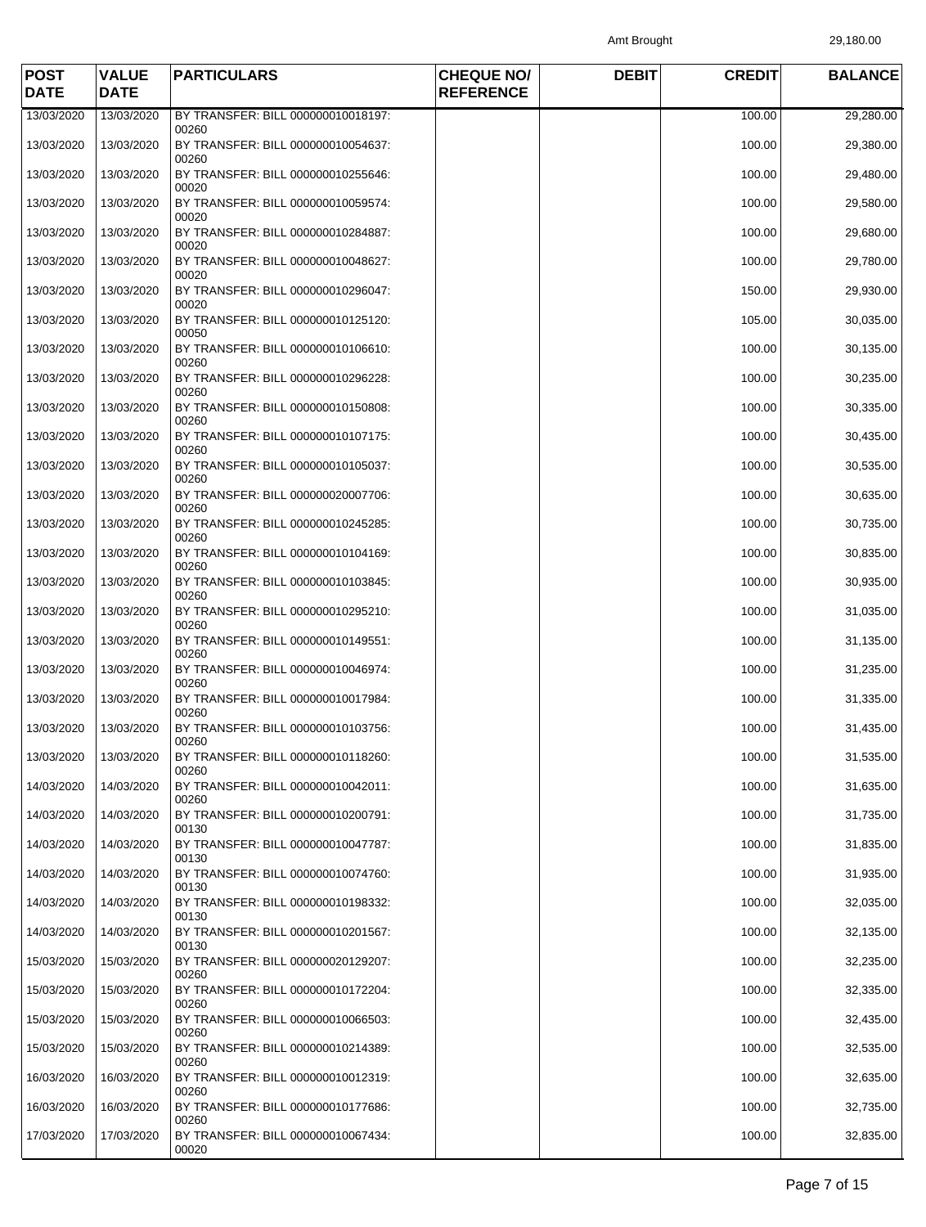Amt Brought 29,180.00

| <b>POST</b><br><b>DATE</b> | <b>VALUE</b><br><b>DATE</b> | <b>PARTICULARS</b>                                   | <b>CHEQUE NO/</b><br><b>REFERENCE</b> | <b>DEBIT</b> | <b>CREDIT</b> | <b>BALANCE</b> |
|----------------------------|-----------------------------|------------------------------------------------------|---------------------------------------|--------------|---------------|----------------|
| 13/03/2020                 | 13/03/2020                  | BY TRANSFER: BILL 000000010018197:                   |                                       |              | 100.00        | 29,280.00      |
| 13/03/2020                 | 13/03/2020                  | 00260<br>BY TRANSFER: BILL 000000010054637:<br>00260 |                                       |              | 100.00        | 29,380.00      |
| 13/03/2020                 | 13/03/2020                  | BY TRANSFER: BILL 000000010255646:<br>00020          |                                       |              | 100.00        | 29,480.00      |
| 13/03/2020                 | 13/03/2020                  | BY TRANSFER: BILL 000000010059574:<br>00020          |                                       |              | 100.00        | 29,580.00      |
| 13/03/2020                 | 13/03/2020                  | BY TRANSFER: BILL 000000010284887:<br>00020          |                                       |              | 100.00        | 29,680.00      |
| 13/03/2020                 | 13/03/2020                  | BY TRANSFER: BILL 000000010048627:<br>00020          |                                       |              | 100.00        | 29,780.00      |
| 13/03/2020                 | 13/03/2020                  | BY TRANSFER: BILL 000000010296047:<br>00020          |                                       |              | 150.00        | 29,930.00      |
| 13/03/2020                 | 13/03/2020                  | BY TRANSFER: BILL 000000010125120:<br>00050          |                                       |              | 105.00        | 30,035.00      |
| 13/03/2020                 | 13/03/2020                  | BY TRANSFER: BILL 000000010106610:<br>00260          |                                       |              | 100.00        | 30,135.00      |
| 13/03/2020                 | 13/03/2020                  | BY TRANSFER: BILL 000000010296228:<br>00260          |                                       |              | 100.00        | 30,235.00      |
| 13/03/2020                 | 13/03/2020                  | BY TRANSFER: BILL 000000010150808:<br>00260          |                                       |              | 100.00        | 30,335.00      |
| 13/03/2020                 | 13/03/2020                  | BY TRANSFER: BILL 000000010107175:<br>00260          |                                       |              | 100.00        | 30,435.00      |
| 13/03/2020                 | 13/03/2020                  | BY TRANSFER: BILL 000000010105037:<br>00260          |                                       |              | 100.00        | 30,535.00      |
| 13/03/2020                 | 13/03/2020                  | BY TRANSFER: BILL 000000020007706:<br>00260          |                                       |              | 100.00        | 30,635.00      |
| 13/03/2020                 | 13/03/2020                  | BY TRANSFER: BILL 000000010245285:<br>00260          |                                       |              | 100.00        | 30,735.00      |
| 13/03/2020                 | 13/03/2020                  | BY TRANSFER: BILL 000000010104169:<br>00260          |                                       |              | 100.00        | 30,835.00      |
| 13/03/2020                 | 13/03/2020                  | BY TRANSFER: BILL 000000010103845:<br>00260          |                                       |              | 100.00        | 30,935.00      |
| 13/03/2020                 | 13/03/2020                  | BY TRANSFER: BILL 000000010295210:<br>00260          |                                       |              | 100.00        | 31,035.00      |
| 13/03/2020                 | 13/03/2020                  | BY TRANSFER: BILL 000000010149551:<br>00260          |                                       |              | 100.00        | 31,135.00      |
| 13/03/2020                 | 13/03/2020                  | BY TRANSFER: BILL 000000010046974:<br>00260          |                                       |              | 100.00        | 31,235.00      |
| 13/03/2020                 | 13/03/2020                  | BY TRANSFER: BILL 000000010017984:<br>00260          |                                       |              | 100.00        | 31,335.00      |
| 13/03/2020                 | 13/03/2020                  | BY TRANSFER: BILL 000000010103756:<br>00260          |                                       |              | 100.00        | 31,435.00      |
| 13/03/2020                 | 13/03/2020                  | BY TRANSFER: BILL 000000010118260:<br>00260          |                                       |              | 100.00        | 31,535.00      |
| 14/03/2020                 | 14/03/2020                  | BY TRANSFER: BILL 000000010042011:<br>00260          |                                       |              | 100.00        | 31,635.00      |
| 14/03/2020                 | 14/03/2020                  | BY TRANSFER: BILL 000000010200791:<br>00130          |                                       |              | 100.00        | 31,735.00      |
| 14/03/2020                 | 14/03/2020                  | BY TRANSFER: BILL 000000010047787:<br>00130          |                                       |              | 100.00        | 31,835.00      |
| 14/03/2020                 | 14/03/2020                  | BY TRANSFER: BILL 000000010074760:<br>00130          |                                       |              | 100.00        | 31,935.00      |
| 14/03/2020                 | 14/03/2020                  | BY TRANSFER: BILL 000000010198332:<br>00130          |                                       |              | 100.00        | 32,035.00      |
| 14/03/2020                 | 14/03/2020                  | BY TRANSFER: BILL 000000010201567:<br>00130          |                                       |              | 100.00        | 32,135.00      |
| 15/03/2020                 | 15/03/2020                  | BY TRANSFER: BILL 000000020129207:<br>00260          |                                       |              | 100.00        | 32,235.00      |
| 15/03/2020                 | 15/03/2020                  | BY TRANSFER: BILL 000000010172204:<br>00260          |                                       |              | 100.00        | 32,335.00      |
| 15/03/2020                 | 15/03/2020                  | BY TRANSFER: BILL 000000010066503:<br>00260          |                                       |              | 100.00        | 32,435.00      |
| 15/03/2020                 | 15/03/2020                  | BY TRANSFER: BILL 000000010214389:<br>00260          |                                       |              | 100.00        | 32,535.00      |
| 16/03/2020                 | 16/03/2020                  | BY TRANSFER: BILL 000000010012319:<br>00260          |                                       |              | 100.00        | 32,635.00      |
| 16/03/2020                 | 16/03/2020                  | BY TRANSFER: BILL 000000010177686:<br>00260          |                                       |              | 100.00        | 32,735.00      |
| 17/03/2020                 | 17/03/2020                  | BY TRANSFER: BILL 000000010067434:<br>00020          |                                       |              | 100.00        | 32,835.00      |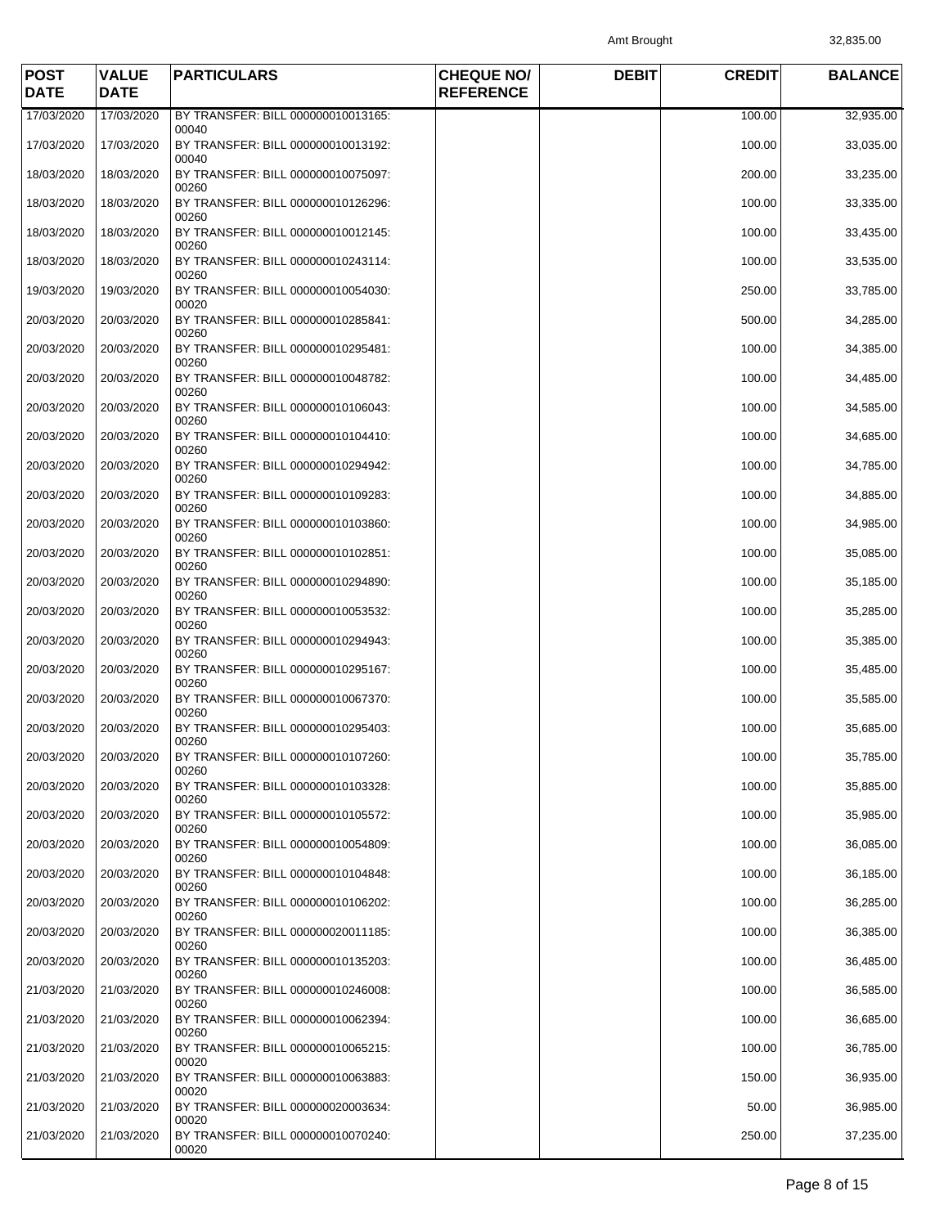Amt Brought 32,835.00

| <b>POST</b><br><b>DATE</b> | <b>VALUE</b><br><b>DATE</b> | <b>PARTICULARS</b>                                   | <b>CHEQUE NO/</b><br><b>REFERENCE</b> | <b>DEBIT</b> | <b>CREDIT</b> | <b>BALANCE</b> |
|----------------------------|-----------------------------|------------------------------------------------------|---------------------------------------|--------------|---------------|----------------|
| 17/03/2020                 | 17/03/2020                  | BY TRANSFER: BILL 000000010013165:                   |                                       |              | 100.00        | 32,935.00      |
| 17/03/2020                 | 17/03/2020                  | 00040<br>BY TRANSFER: BILL 000000010013192:<br>00040 |                                       |              | 100.00        | 33,035.00      |
| 18/03/2020                 | 18/03/2020                  | BY TRANSFER: BILL 000000010075097:<br>00260          |                                       |              | 200.00        | 33,235.00      |
| 18/03/2020                 | 18/03/2020                  | BY TRANSFER: BILL 000000010126296:<br>00260          |                                       |              | 100.00        | 33,335.00      |
| 18/03/2020                 | 18/03/2020                  | BY TRANSFER: BILL 000000010012145:<br>00260          |                                       |              | 100.00        | 33,435.00      |
| 18/03/2020                 | 18/03/2020                  | BY TRANSFER: BILL 000000010243114:<br>00260          |                                       |              | 100.00        | 33,535.00      |
| 19/03/2020                 | 19/03/2020                  | BY TRANSFER: BILL 000000010054030:<br>00020          |                                       |              | 250.00        | 33,785.00      |
| 20/03/2020                 | 20/03/2020                  | BY TRANSFER: BILL 000000010285841:<br>00260          |                                       |              | 500.00        | 34,285.00      |
| 20/03/2020                 | 20/03/2020                  | BY TRANSFER: BILL 000000010295481:<br>00260          |                                       |              | 100.00        | 34,385.00      |
| 20/03/2020                 | 20/03/2020                  | BY TRANSFER: BILL 000000010048782:<br>00260          |                                       |              | 100.00        | 34,485.00      |
| 20/03/2020                 | 20/03/2020                  | BY TRANSFER: BILL 000000010106043:<br>00260          |                                       |              | 100.00        | 34,585.00      |
| 20/03/2020                 | 20/03/2020                  | BY TRANSFER: BILL 000000010104410:<br>00260          |                                       |              | 100.00        | 34,685.00      |
| 20/03/2020                 | 20/03/2020                  | BY TRANSFER: BILL 000000010294942:<br>00260          |                                       |              | 100.00        | 34,785.00      |
| 20/03/2020                 | 20/03/2020                  | BY TRANSFER: BILL 000000010109283:<br>00260          |                                       |              | 100.00        | 34,885.00      |
| 20/03/2020                 | 20/03/2020                  | BY TRANSFER: BILL 000000010103860:<br>00260          |                                       |              | 100.00        | 34,985.00      |
| 20/03/2020                 | 20/03/2020                  | BY TRANSFER: BILL 000000010102851:<br>00260          |                                       |              | 100.00        | 35,085.00      |
| 20/03/2020                 | 20/03/2020                  | BY TRANSFER: BILL 000000010294890:<br>00260          |                                       |              | 100.00        | 35,185.00      |
| 20/03/2020                 | 20/03/2020                  | BY TRANSFER: BILL 000000010053532:<br>00260          |                                       |              | 100.00        | 35,285.00      |
| 20/03/2020                 | 20/03/2020                  | BY TRANSFER: BILL 000000010294943:<br>00260          |                                       |              | 100.00        | 35,385.00      |
| 20/03/2020                 | 20/03/2020                  | BY TRANSFER: BILL 000000010295167:<br>00260          |                                       |              | 100.00        | 35,485.00      |
| 20/03/2020                 | 20/03/2020                  | BY TRANSFER: BILL 000000010067370:<br>00260          |                                       |              | 100.00        | 35,585.00      |
| 20/03/2020                 | 20/03/2020                  | BY TRANSFER: BILL 000000010295403:<br>00260          |                                       |              | 100.00        | 35,685.00      |
| 20/03/2020                 | 20/03/2020                  | BY TRANSFER: BILL 000000010107260:<br>00260          |                                       |              | 100.00        | 35,785.00      |
| 20/03/2020                 | 20/03/2020                  | BY TRANSFER: BILL 000000010103328:<br>00260          |                                       |              | 100.00        | 35,885.00      |
| 20/03/2020                 | 20/03/2020                  | BY TRANSFER: BILL 000000010105572:<br>00260          |                                       |              | 100.00        | 35,985.00      |
| 20/03/2020                 | 20/03/2020                  | BY TRANSFER: BILL 000000010054809:<br>00260          |                                       |              | 100.00        | 36,085.00      |
| 20/03/2020                 | 20/03/2020                  | BY TRANSFER: BILL 000000010104848:<br>00260          |                                       |              | 100.00        | 36,185.00      |
| 20/03/2020                 | 20/03/2020                  | BY TRANSFER: BILL 000000010106202:<br>00260          |                                       |              | 100.00        | 36,285.00      |
| 20/03/2020                 | 20/03/2020                  | BY TRANSFER: BILL 000000020011185:<br>00260          |                                       |              | 100.00        | 36,385.00      |
| 20/03/2020                 | 20/03/2020                  | BY TRANSFER: BILL 000000010135203:<br>00260          |                                       |              | 100.00        | 36,485.00      |
| 21/03/2020                 | 21/03/2020                  | BY TRANSFER: BILL 000000010246008:<br>00260          |                                       |              | 100.00        | 36,585.00      |
| 21/03/2020                 | 21/03/2020                  | BY TRANSFER: BILL 000000010062394:<br>00260          |                                       |              | 100.00        | 36,685.00      |
| 21/03/2020                 | 21/03/2020                  | BY TRANSFER: BILL 000000010065215:<br>00020          |                                       |              | 100.00        | 36,785.00      |
| 21/03/2020                 | 21/03/2020                  | BY TRANSFER: BILL 000000010063883:<br>00020          |                                       |              | 150.00        | 36,935.00      |
| 21/03/2020                 | 21/03/2020                  | BY TRANSFER: BILL 000000020003634:<br>00020          |                                       |              | 50.00         | 36,985.00      |
| 21/03/2020                 | 21/03/2020                  | BY TRANSFER: BILL 000000010070240:<br>00020          |                                       |              | 250.00        | 37,235.00      |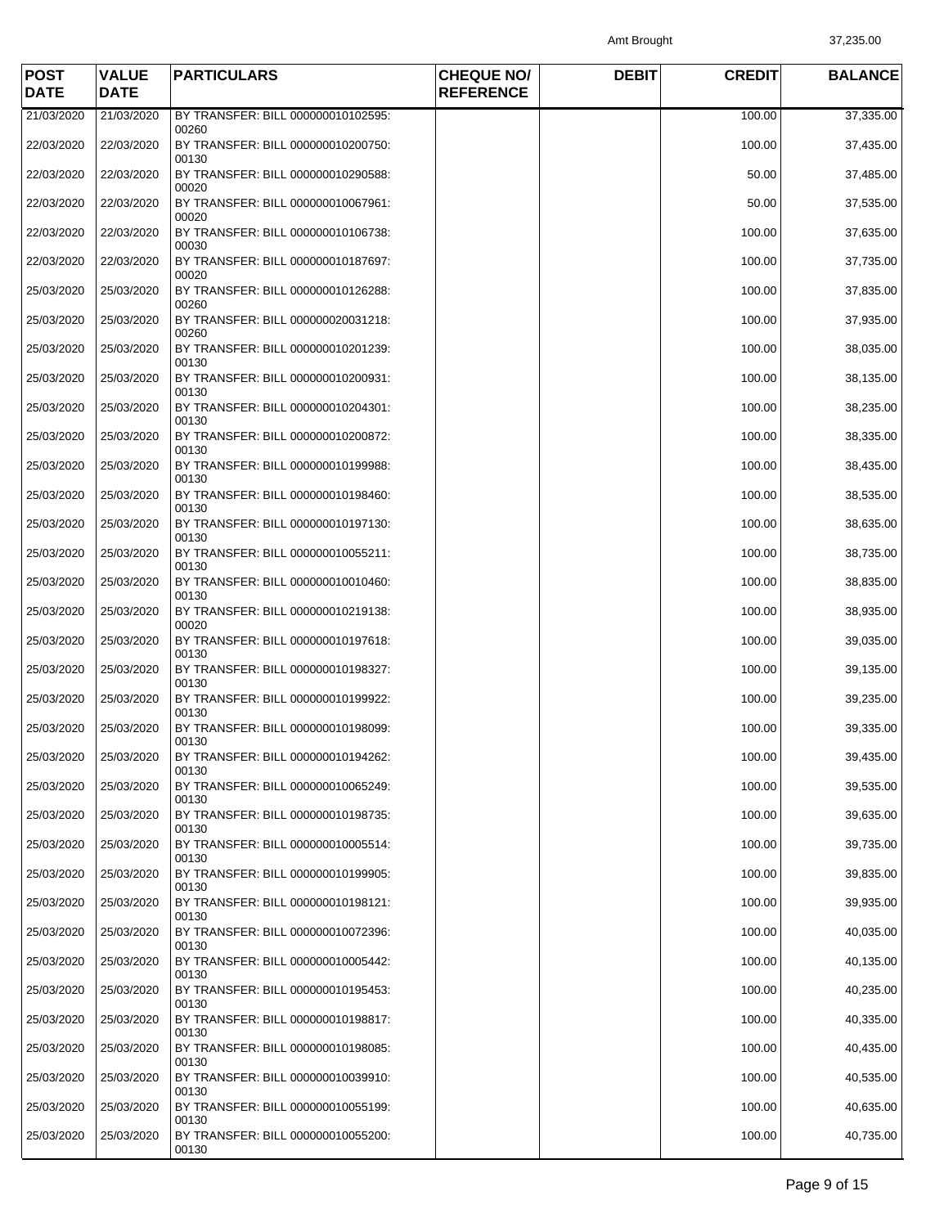Amt Brought 37,235.00

| <b>POST</b><br><b>DATE</b> | <b>VALUE</b><br><b>DATE</b> | <b>PARTICULARS</b>                                   | <b>CHEQUE NO/</b><br><b>REFERENCE</b> | <b>DEBIT</b> | <b>CREDIT</b> | <b>BALANCE</b> |
|----------------------------|-----------------------------|------------------------------------------------------|---------------------------------------|--------------|---------------|----------------|
| 21/03/2020                 | 21/03/2020                  | BY TRANSFER: BILL 000000010102595:                   |                                       |              | 100.00        | 37,335.00      |
| 22/03/2020                 | 22/03/2020                  | 00260<br>BY TRANSFER: BILL 000000010200750:<br>00130 |                                       |              | 100.00        | 37,435.00      |
| 22/03/2020                 | 22/03/2020                  | BY TRANSFER: BILL 000000010290588:<br>00020          |                                       |              | 50.00         | 37,485.00      |
| 22/03/2020                 | 22/03/2020                  | BY TRANSFER: BILL 000000010067961:<br>00020          |                                       |              | 50.00         | 37,535.00      |
| 22/03/2020                 | 22/03/2020                  | BY TRANSFER: BILL 000000010106738:<br>00030          |                                       |              | 100.00        | 37,635.00      |
| 22/03/2020                 | 22/03/2020                  | BY TRANSFER: BILL 000000010187697:<br>00020          |                                       |              | 100.00        | 37,735.00      |
| 25/03/2020                 | 25/03/2020                  | BY TRANSFER: BILL 000000010126288:<br>00260          |                                       |              | 100.00        | 37,835.00      |
| 25/03/2020                 | 25/03/2020                  | BY TRANSFER: BILL 000000020031218:<br>00260          |                                       |              | 100.00        | 37,935.00      |
| 25/03/2020                 | 25/03/2020                  | BY TRANSFER: BILL 000000010201239:<br>00130          |                                       |              | 100.00        | 38,035.00      |
| 25/03/2020                 | 25/03/2020                  | BY TRANSFER: BILL 000000010200931:<br>00130          |                                       |              | 100.00        | 38,135.00      |
| 25/03/2020                 | 25/03/2020                  | BY TRANSFER: BILL 000000010204301:<br>00130          |                                       |              | 100.00        | 38,235.00      |
| 25/03/2020                 | 25/03/2020                  | BY TRANSFER: BILL 000000010200872:<br>00130          |                                       |              | 100.00        | 38,335.00      |
| 25/03/2020                 | 25/03/2020                  | BY TRANSFER: BILL 000000010199988:<br>00130          |                                       |              | 100.00        | 38,435.00      |
| 25/03/2020                 | 25/03/2020                  | BY TRANSFER: BILL 000000010198460:<br>00130          |                                       |              | 100.00        | 38,535.00      |
| 25/03/2020                 | 25/03/2020                  | BY TRANSFER: BILL 000000010197130:<br>00130          |                                       |              | 100.00        | 38,635.00      |
| 25/03/2020                 | 25/03/2020                  | BY TRANSFER: BILL 000000010055211:<br>00130          |                                       |              | 100.00        | 38,735.00      |
| 25/03/2020                 | 25/03/2020                  | BY TRANSFER: BILL 000000010010460:<br>00130          |                                       |              | 100.00        | 38,835.00      |
| 25/03/2020                 | 25/03/2020                  | BY TRANSFER: BILL 000000010219138:<br>00020          |                                       |              | 100.00        | 38,935.00      |
| 25/03/2020                 | 25/03/2020                  | BY TRANSFER: BILL 000000010197618:<br>00130          |                                       |              | 100.00        | 39,035.00      |
| 25/03/2020                 | 25/03/2020                  | BY TRANSFER: BILL 000000010198327:<br>00130          |                                       |              | 100.00        | 39,135.00      |
| 25/03/2020                 | 25/03/2020                  | BY TRANSFER: BILL 000000010199922:<br>00130          |                                       |              | 100.00        | 39,235.00      |
| 25/03/2020                 | 25/03/2020                  | BY TRANSFER: BILL 000000010198099:<br>00130          |                                       |              | 100.00        | 39,335.00      |
| 25/03/2020                 | 25/03/2020                  | BY TRANSFER: BILL 000000010194262:<br>00130          |                                       |              | 100.00        | 39,435.00      |
| 25/03/2020                 | 25/03/2020                  | BY TRANSFER: BILL 000000010065249:<br>00130          |                                       |              | 100.00        | 39,535.00      |
| 25/03/2020                 | 25/03/2020                  | BY TRANSFER: BILL 000000010198735:<br>00130          |                                       |              | 100.00        | 39,635.00      |
| 25/03/2020                 | 25/03/2020                  | BY TRANSFER: BILL 000000010005514:<br>00130          |                                       |              | 100.00        | 39,735.00      |
| 25/03/2020                 | 25/03/2020                  | BY TRANSFER: BILL 000000010199905:<br>00130          |                                       |              | 100.00        | 39,835.00      |
| 25/03/2020                 | 25/03/2020                  | BY TRANSFER: BILL 000000010198121:<br>00130          |                                       |              | 100.00        | 39,935.00      |
| 25/03/2020                 | 25/03/2020                  | BY TRANSFER: BILL 000000010072396:<br>00130          |                                       |              | 100.00        | 40,035.00      |
| 25/03/2020                 | 25/03/2020                  | BY TRANSFER: BILL 000000010005442:<br>00130          |                                       |              | 100.00        | 40,135.00      |
| 25/03/2020                 | 25/03/2020                  | BY TRANSFER: BILL 000000010195453:<br>00130          |                                       |              | 100.00        | 40,235.00      |
| 25/03/2020                 | 25/03/2020                  | BY TRANSFER: BILL 000000010198817:<br>00130          |                                       |              | 100.00        | 40,335.00      |
| 25/03/2020                 | 25/03/2020                  | BY TRANSFER: BILL 000000010198085:<br>00130          |                                       |              | 100.00        | 40,435.00      |
| 25/03/2020                 | 25/03/2020                  | BY TRANSFER: BILL 000000010039910:<br>00130          |                                       |              | 100.00        | 40,535.00      |
| 25/03/2020                 | 25/03/2020                  | BY TRANSFER: BILL 000000010055199:<br>00130          |                                       |              | 100.00        | 40,635.00      |
| 25/03/2020                 | 25/03/2020                  | BY TRANSFER: BILL 000000010055200:<br>00130          |                                       |              | 100.00        | 40,735.00      |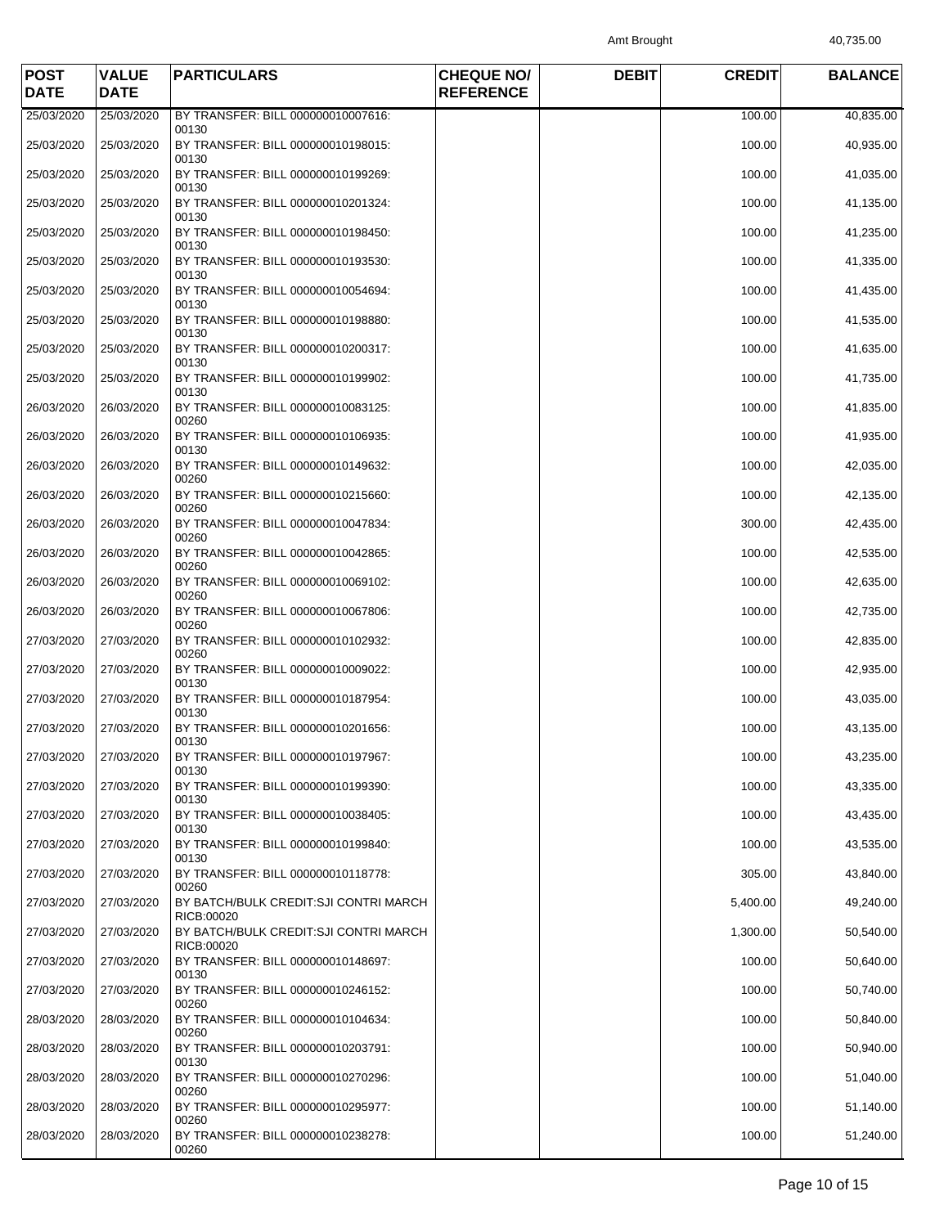Amt Brought 40,735.00

| <b>POST</b><br><b>DATE</b> | <b>VALUE</b><br><b>DATE</b> | <b>PARTICULARS</b>                                   | <b>CHEQUE NO/</b><br><b>REFERENCE</b> | <b>DEBIT</b> | <b>CREDIT</b> | <b>BALANCE</b> |
|----------------------------|-----------------------------|------------------------------------------------------|---------------------------------------|--------------|---------------|----------------|
| 25/03/2020                 | 25/03/2020                  | BY TRANSFER: BILL 000000010007616:                   |                                       |              | 100.00        | 40,835.00      |
| 25/03/2020                 | 25/03/2020                  | 00130<br>BY TRANSFER: BILL 000000010198015:<br>00130 |                                       |              | 100.00        | 40,935.00      |
| 25/03/2020                 | 25/03/2020                  | BY TRANSFER: BILL 000000010199269:<br>00130          |                                       |              | 100.00        | 41,035.00      |
| 25/03/2020                 | 25/03/2020                  | BY TRANSFER: BILL 000000010201324:<br>00130          |                                       |              | 100.00        | 41,135.00      |
| 25/03/2020                 | 25/03/2020                  | BY TRANSFER: BILL 000000010198450:<br>00130          |                                       |              | 100.00        | 41,235.00      |
| 25/03/2020                 | 25/03/2020                  | BY TRANSFER: BILL 000000010193530:<br>00130          |                                       |              | 100.00        | 41,335.00      |
| 25/03/2020                 | 25/03/2020                  | BY TRANSFER: BILL 000000010054694:<br>00130          |                                       |              | 100.00        | 41,435.00      |
| 25/03/2020                 | 25/03/2020                  | BY TRANSFER: BILL 000000010198880:<br>00130          |                                       |              | 100.00        | 41,535.00      |
| 25/03/2020                 | 25/03/2020                  | BY TRANSFER: BILL 000000010200317:<br>00130          |                                       |              | 100.00        | 41,635.00      |
| 25/03/2020                 | 25/03/2020                  | BY TRANSFER: BILL 000000010199902:<br>00130          |                                       |              | 100.00        | 41,735.00      |
| 26/03/2020                 | 26/03/2020                  | BY TRANSFER: BILL 000000010083125:<br>00260          |                                       |              | 100.00        | 41,835.00      |
| 26/03/2020                 | 26/03/2020                  | BY TRANSFER: BILL 000000010106935:<br>00130          |                                       |              | 100.00        | 41,935.00      |
| 26/03/2020                 | 26/03/2020                  | BY TRANSFER: BILL 000000010149632:<br>00260          |                                       |              | 100.00        | 42,035.00      |
| 26/03/2020                 | 26/03/2020                  | BY TRANSFER: BILL 000000010215660:<br>00260          |                                       |              | 100.00        | 42,135.00      |
| 26/03/2020                 | 26/03/2020                  | BY TRANSFER: BILL 000000010047834:<br>00260          |                                       |              | 300.00        | 42,435.00      |
| 26/03/2020                 | 26/03/2020                  | BY TRANSFER: BILL 000000010042865:<br>00260          |                                       |              | 100.00        | 42,535.00      |
| 26/03/2020                 | 26/03/2020                  | BY TRANSFER: BILL 000000010069102:<br>00260          |                                       |              | 100.00        | 42,635.00      |
| 26/03/2020                 | 26/03/2020                  | BY TRANSFER: BILL 000000010067806:<br>00260          |                                       |              | 100.00        | 42,735.00      |
| 27/03/2020                 | 27/03/2020                  | BY TRANSFER: BILL 000000010102932:<br>00260          |                                       |              | 100.00        | 42,835.00      |
| 27/03/2020                 | 27/03/2020                  | BY TRANSFER: BILL 000000010009022:<br>00130          |                                       |              | 100.00        | 42,935.00      |
| 27/03/2020                 | 27/03/2020                  | BY TRANSFER: BILL 000000010187954:<br>00130          |                                       |              | 100.00        | 43,035.00      |
| 27/03/2020                 | 27/03/2020                  | BY TRANSFER: BILL 000000010201656:<br>00130          |                                       |              | 100.00        | 43,135.00      |
| 27/03/2020                 | 27/03/2020                  | BY TRANSFER: BILL 000000010197967:<br>00130          |                                       |              | 100.00        | 43,235.00      |
| 27/03/2020                 | 27/03/2020                  | BY TRANSFER: BILL 000000010199390:<br>00130          |                                       |              | 100.00        | 43,335.00      |
| 27/03/2020                 | 27/03/2020                  | BY TRANSFER: BILL 000000010038405:<br>00130          |                                       |              | 100.00        | 43,435.00      |
| 27/03/2020                 | 27/03/2020                  | BY TRANSFER: BILL 000000010199840:<br>00130          |                                       |              | 100.00        | 43,535.00      |
| 27/03/2020                 | 27/03/2020                  | BY TRANSFER: BILL 000000010118778:<br>00260          |                                       |              | 305.00        | 43,840.00      |
| 27/03/2020                 | 27/03/2020                  | BY BATCH/BULK CREDIT:SJI CONTRI MARCH<br>RICB:00020  |                                       |              | 5,400.00      | 49,240.00      |
| 27/03/2020                 | 27/03/2020                  | BY BATCH/BULK CREDIT:SJI CONTRI MARCH<br>RICB:00020  |                                       |              | 1,300.00      | 50,540.00      |
| 27/03/2020                 | 27/03/2020                  | BY TRANSFER: BILL 000000010148697:<br>00130          |                                       |              | 100.00        | 50,640.00      |
| 27/03/2020                 | 27/03/2020                  | BY TRANSFER: BILL 000000010246152:<br>00260          |                                       |              | 100.00        | 50,740.00      |
| 28/03/2020                 | 28/03/2020                  | BY TRANSFER: BILL 000000010104634:<br>00260          |                                       |              | 100.00        | 50,840.00      |
| 28/03/2020                 | 28/03/2020                  | BY TRANSFER: BILL 000000010203791:<br>00130          |                                       |              | 100.00        | 50,940.00      |
| 28/03/2020                 | 28/03/2020                  | BY TRANSFER: BILL 000000010270296:<br>00260          |                                       |              | 100.00        | 51,040.00      |
| 28/03/2020                 | 28/03/2020                  | BY TRANSFER: BILL 000000010295977:<br>00260          |                                       |              | 100.00        | 51,140.00      |
| 28/03/2020                 | 28/03/2020                  | BY TRANSFER: BILL 000000010238278:<br>00260          |                                       |              | 100.00        | 51,240.00      |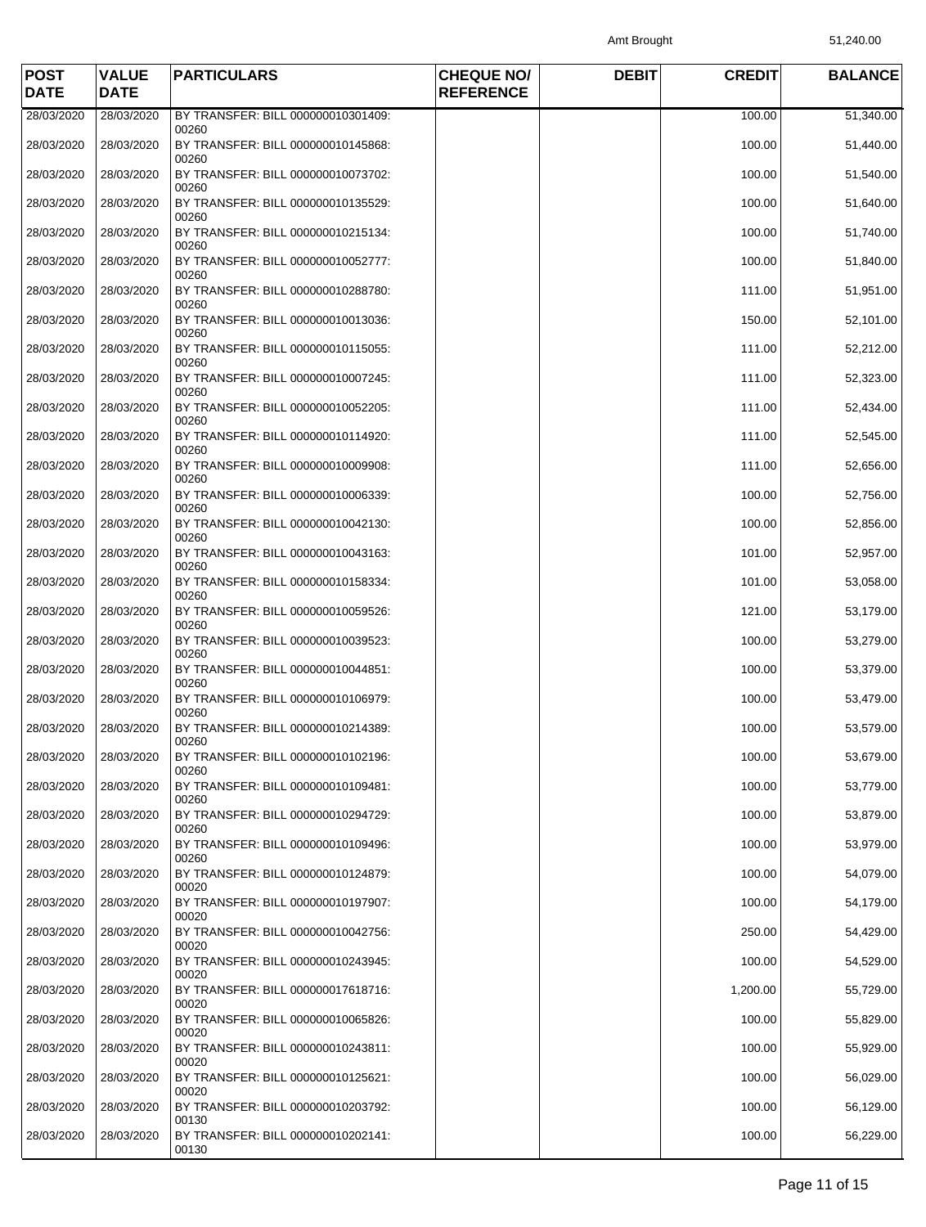Amt Brought 51,240.00

| <b>POST</b><br><b>DATE</b> | <b>VALUE</b><br><b>DATE</b> | <b>PARTICULARS</b>                                   | <b>CHEQUE NO/</b><br><b>REFERENCE</b> | <b>DEBIT</b> | <b>CREDIT</b> | <b>BALANCE</b> |
|----------------------------|-----------------------------|------------------------------------------------------|---------------------------------------|--------------|---------------|----------------|
| 28/03/2020                 | 28/03/2020                  | BY TRANSFER: BILL 000000010301409:                   |                                       |              | 100.00        | 51,340.00      |
| 28/03/2020                 | 28/03/2020                  | 00260<br>BY TRANSFER: BILL 000000010145868:<br>00260 |                                       |              | 100.00        | 51,440.00      |
| 28/03/2020                 | 28/03/2020                  | BY TRANSFER: BILL 000000010073702:<br>00260          |                                       |              | 100.00        | 51,540.00      |
| 28/03/2020                 | 28/03/2020                  | BY TRANSFER: BILL 000000010135529:<br>00260          |                                       |              | 100.00        | 51,640.00      |
| 28/03/2020                 | 28/03/2020                  | BY TRANSFER: BILL 000000010215134:<br>00260          |                                       |              | 100.00        | 51,740.00      |
| 28/03/2020                 | 28/03/2020                  | BY TRANSFER: BILL 000000010052777:<br>00260          |                                       |              | 100.00        | 51,840.00      |
| 28/03/2020                 | 28/03/2020                  | BY TRANSFER: BILL 000000010288780:<br>00260          |                                       |              | 111.00        | 51,951.00      |
| 28/03/2020                 | 28/03/2020                  | BY TRANSFER: BILL 000000010013036:<br>00260          |                                       |              | 150.00        | 52,101.00      |
| 28/03/2020                 | 28/03/2020                  | BY TRANSFER: BILL 000000010115055:<br>00260          |                                       |              | 111.00        | 52,212.00      |
| 28/03/2020                 | 28/03/2020                  | BY TRANSFER: BILL 000000010007245:<br>00260          |                                       |              | 111.00        | 52,323.00      |
| 28/03/2020                 | 28/03/2020                  | BY TRANSFER: BILL 000000010052205:<br>00260          |                                       |              | 111.00        | 52,434.00      |
| 28/03/2020                 | 28/03/2020                  | BY TRANSFER: BILL 000000010114920:<br>00260          |                                       |              | 111.00        | 52,545.00      |
| 28/03/2020                 | 28/03/2020                  | BY TRANSFER: BILL 000000010009908:<br>00260          |                                       |              | 111.00        | 52,656.00      |
| 28/03/2020                 | 28/03/2020                  | BY TRANSFER: BILL 000000010006339:<br>00260          |                                       |              | 100.00        | 52,756.00      |
| 28/03/2020                 | 28/03/2020                  | BY TRANSFER: BILL 000000010042130:<br>00260          |                                       |              | 100.00        | 52,856.00      |
| 28/03/2020                 | 28/03/2020                  | BY TRANSFER: BILL 000000010043163:<br>00260          |                                       |              | 101.00        | 52,957.00      |
| 28/03/2020                 | 28/03/2020                  | BY TRANSFER: BILL 000000010158334:<br>00260          |                                       |              | 101.00        | 53,058.00      |
| 28/03/2020                 | 28/03/2020                  | BY TRANSFER: BILL 000000010059526:<br>00260          |                                       |              | 121.00        | 53,179.00      |
| 28/03/2020                 | 28/03/2020                  | BY TRANSFER: BILL 000000010039523:<br>00260          |                                       |              | 100.00        | 53,279.00      |
| 28/03/2020                 | 28/03/2020                  | BY TRANSFER: BILL 000000010044851:<br>00260          |                                       |              | 100.00        | 53,379.00      |
| 28/03/2020                 | 28/03/2020                  | BY TRANSFER: BILL 000000010106979:<br>00260          |                                       |              | 100.00        | 53,479.00      |
| 28/03/2020                 | 28/03/2020                  | BY TRANSFER: BILL 000000010214389:<br>00260          |                                       |              | 100.00        | 53,579.00      |
| 28/03/2020                 | 28/03/2020                  | BY TRANSFER: BILL 000000010102196:<br>00260          |                                       |              | 100.00        | 53,679.00      |
| 28/03/2020                 | 28/03/2020                  | BY TRANSFER: BILL 000000010109481:<br>00260          |                                       |              | 100.00        | 53,779.00      |
| 28/03/2020                 | 28/03/2020                  | BY TRANSFER: BILL 000000010294729:<br>00260          |                                       |              | 100.00        | 53,879.00      |
| 28/03/2020                 | 28/03/2020                  | BY TRANSFER: BILL 000000010109496:<br>00260          |                                       |              | 100.00        | 53,979.00      |
| 28/03/2020                 | 28/03/2020                  | BY TRANSFER: BILL 000000010124879:<br>00020          |                                       |              | 100.00        | 54,079.00      |
| 28/03/2020                 | 28/03/2020                  | BY TRANSFER: BILL 000000010197907:<br>00020          |                                       |              | 100.00        | 54,179.00      |
| 28/03/2020                 | 28/03/2020                  | BY TRANSFER: BILL 000000010042756:<br>00020          |                                       |              | 250.00        | 54,429.00      |
| 28/03/2020                 | 28/03/2020                  | BY TRANSFER: BILL 000000010243945:<br>00020          |                                       |              | 100.00        | 54,529.00      |
| 28/03/2020                 | 28/03/2020                  | BY TRANSFER: BILL 000000017618716:<br>00020          |                                       |              | 1,200.00      | 55,729.00      |
| 28/03/2020                 | 28/03/2020                  | BY TRANSFER: BILL 000000010065826:<br>00020          |                                       |              | 100.00        | 55,829.00      |
| 28/03/2020                 | 28/03/2020                  | BY TRANSFER: BILL 000000010243811:<br>00020          |                                       |              | 100.00        | 55,929.00      |
| 28/03/2020                 | 28/03/2020                  | BY TRANSFER: BILL 000000010125621:<br>00020          |                                       |              | 100.00        | 56,029.00      |
| 28/03/2020                 | 28/03/2020                  | BY TRANSFER: BILL 000000010203792:<br>00130          |                                       |              | 100.00        | 56,129.00      |
| 28/03/2020                 | 28/03/2020                  | BY TRANSFER: BILL 000000010202141:<br>00130          |                                       |              | 100.00        | 56,229.00      |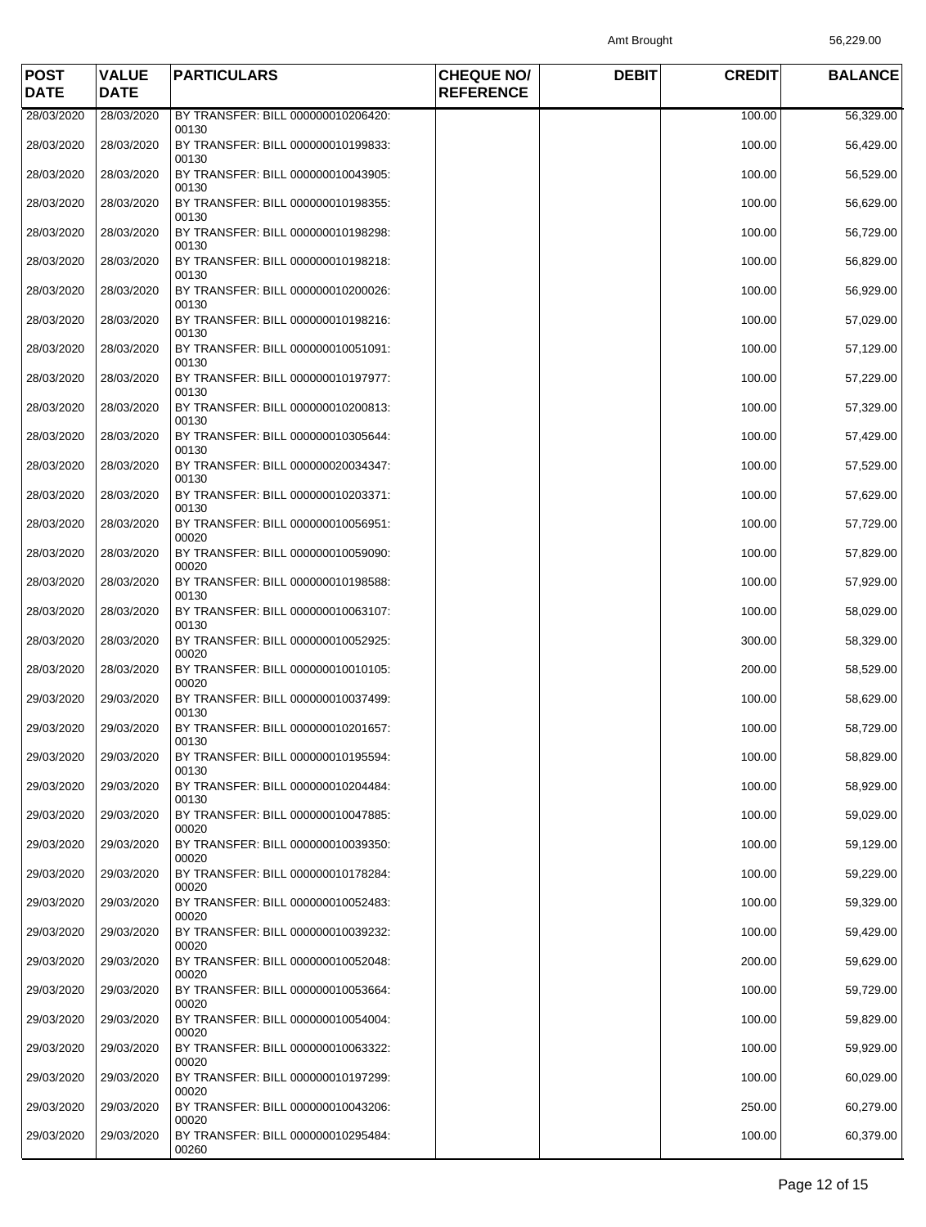Amt Brought 56,229.00

| <b>POST</b><br><b>DATE</b> | <b>VALUE</b><br><b>DATE</b> | <b>PARTICULARS</b>                                   | <b>CHEQUE NO/</b><br><b>REFERENCE</b> | <b>DEBIT</b> | <b>CREDIT</b> | <b>BALANCE</b> |
|----------------------------|-----------------------------|------------------------------------------------------|---------------------------------------|--------------|---------------|----------------|
| 28/03/2020                 | 28/03/2020                  | BY TRANSFER: BILL 000000010206420:                   |                                       |              | 100.00        | 56,329.00      |
| 28/03/2020                 | 28/03/2020                  | 00130<br>BY TRANSFER: BILL 000000010199833:          |                                       |              | 100.00        | 56,429.00      |
| 28/03/2020                 | 28/03/2020                  | 00130<br>BY TRANSFER: BILL 000000010043905:<br>00130 |                                       |              | 100.00        | 56,529.00      |
| 28/03/2020                 | 28/03/2020                  | BY TRANSFER: BILL 000000010198355:<br>00130          |                                       |              | 100.00        | 56,629.00      |
| 28/03/2020                 | 28/03/2020                  | BY TRANSFER: BILL 000000010198298:                   |                                       |              | 100.00        | 56,729.00      |
| 28/03/2020                 | 28/03/2020                  | 00130<br>BY TRANSFER: BILL 000000010198218:<br>00130 |                                       |              | 100.00        | 56,829.00      |
| 28/03/2020                 | 28/03/2020                  | BY TRANSFER: BILL 000000010200026:<br>00130          |                                       |              | 100.00        | 56,929.00      |
| 28/03/2020                 | 28/03/2020                  | BY TRANSFER: BILL 000000010198216:<br>00130          |                                       |              | 100.00        | 57,029.00      |
| 28/03/2020                 | 28/03/2020                  | BY TRANSFER: BILL 000000010051091:<br>00130          |                                       |              | 100.00        | 57,129.00      |
| 28/03/2020                 | 28/03/2020                  | BY TRANSFER: BILL 000000010197977:<br>00130          |                                       |              | 100.00        | 57,229.00      |
| 28/03/2020                 | 28/03/2020                  | BY TRANSFER: BILL 000000010200813:<br>00130          |                                       |              | 100.00        | 57,329.00      |
| 28/03/2020                 | 28/03/2020                  | BY TRANSFER: BILL 000000010305644:<br>00130          |                                       |              | 100.00        | 57,429.00      |
| 28/03/2020                 | 28/03/2020                  | BY TRANSFER: BILL 000000020034347:<br>00130          |                                       |              | 100.00        | 57,529.00      |
| 28/03/2020                 | 28/03/2020                  | BY TRANSFER: BILL 000000010203371:<br>00130          |                                       |              | 100.00        | 57,629.00      |
| 28/03/2020                 | 28/03/2020                  | BY TRANSFER: BILL 000000010056951:<br>00020          |                                       |              | 100.00        | 57,729.00      |
| 28/03/2020                 | 28/03/2020                  | BY TRANSFER: BILL 000000010059090:<br>00020          |                                       |              | 100.00        | 57,829.00      |
| 28/03/2020                 | 28/03/2020                  | BY TRANSFER: BILL 000000010198588:<br>00130          |                                       |              | 100.00        | 57,929.00      |
| 28/03/2020                 | 28/03/2020                  | BY TRANSFER: BILL 000000010063107:<br>00130          |                                       |              | 100.00        | 58,029.00      |
| 28/03/2020                 | 28/03/2020                  | BY TRANSFER: BILL 000000010052925:<br>00020          |                                       |              | 300.00        | 58,329.00      |
| 28/03/2020                 | 28/03/2020                  | BY TRANSFER: BILL 000000010010105:<br>00020          |                                       |              | 200.00        | 58,529.00      |
| 29/03/2020                 | 29/03/2020                  | BY TRANSFER: BILL 000000010037499:<br>00130          |                                       |              | 100.00        | 58,629.00      |
| 29/03/2020                 | 29/03/2020                  | BY TRANSFER: BILL 000000010201657:<br>00130          |                                       |              | 100.00        | 58,729.00      |
| 29/03/2020                 | 29/03/2020                  | BY TRANSFER: BILL 000000010195594:<br>00130          |                                       |              | 100.00        | 58,829.00      |
| 29/03/2020                 | 29/03/2020                  | BY TRANSFER: BILL 000000010204484:<br>00130          |                                       |              | 100.00        | 58,929.00      |
| 29/03/2020                 | 29/03/2020                  | BY TRANSFER: BILL 000000010047885:<br>00020          |                                       |              | 100.00        | 59,029.00      |
| 29/03/2020                 | 29/03/2020                  | BY TRANSFER: BILL 000000010039350:<br>00020          |                                       |              | 100.00        | 59,129.00      |
| 29/03/2020                 | 29/03/2020                  | BY TRANSFER: BILL 000000010178284:<br>00020          |                                       |              | 100.00        | 59,229.00      |
| 29/03/2020                 | 29/03/2020                  | BY TRANSFER: BILL 000000010052483:<br>00020          |                                       |              | 100.00        | 59,329.00      |
| 29/03/2020                 | 29/03/2020                  | BY TRANSFER: BILL 000000010039232:<br>00020          |                                       |              | 100.00        | 59,429.00      |
| 29/03/2020                 | 29/03/2020                  | BY TRANSFER: BILL 000000010052048:<br>00020          |                                       |              | 200.00        | 59,629.00      |
| 29/03/2020                 | 29/03/2020                  | BY TRANSFER: BILL 000000010053664:<br>00020          |                                       |              | 100.00        | 59,729.00      |
| 29/03/2020                 | 29/03/2020                  | BY TRANSFER: BILL 000000010054004:<br>00020          |                                       |              | 100.00        | 59,829.00      |
| 29/03/2020                 | 29/03/2020                  | BY TRANSFER: BILL 000000010063322:<br>00020          |                                       |              | 100.00        | 59,929.00      |
| 29/03/2020                 | 29/03/2020                  | BY TRANSFER: BILL 000000010197299:<br>00020          |                                       |              | 100.00        | 60,029.00      |
| 29/03/2020                 | 29/03/2020                  | BY TRANSFER: BILL 000000010043206:<br>00020          |                                       |              | 250.00        | 60,279.00      |
| 29/03/2020                 | 29/03/2020                  | BY TRANSFER: BILL 000000010295484:<br>00260          |                                       |              | 100.00        | 60,379.00      |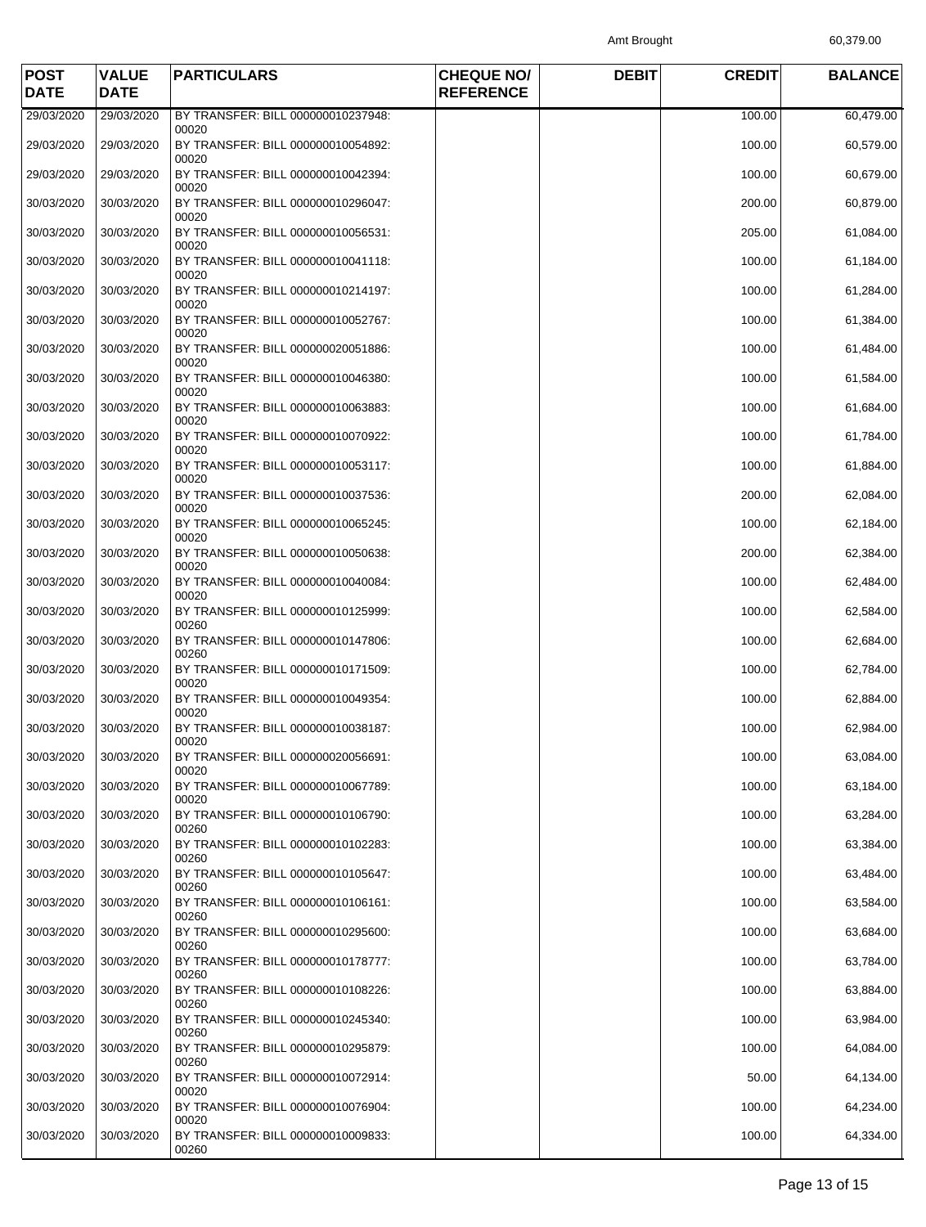Amt Brought 60,379.00

| <b>POST</b><br><b>DATE</b> | <b>VALUE</b><br><b>DATE</b> | <b>PARTICULARS</b>                                   | <b>CHEQUE NO/</b><br><b>REFERENCE</b> | <b>DEBIT</b> | <b>CREDIT</b> | <b>BALANCE</b> |
|----------------------------|-----------------------------|------------------------------------------------------|---------------------------------------|--------------|---------------|----------------|
| 29/03/2020                 | 29/03/2020                  | BY TRANSFER: BILL 000000010237948:                   |                                       |              | 100.00        | 60,479.00      |
| 29/03/2020                 | 29/03/2020                  | 00020<br>BY TRANSFER: BILL 000000010054892:<br>00020 |                                       |              | 100.00        | 60,579.00      |
| 29/03/2020                 | 29/03/2020                  | BY TRANSFER: BILL 000000010042394:<br>00020          |                                       |              | 100.00        | 60,679.00      |
| 30/03/2020                 | 30/03/2020                  | BY TRANSFER: BILL 000000010296047:<br>00020          |                                       |              | 200.00        | 60,879.00      |
| 30/03/2020                 | 30/03/2020                  | BY TRANSFER: BILL 000000010056531:<br>00020          |                                       |              | 205.00        | 61,084.00      |
| 30/03/2020                 | 30/03/2020                  | BY TRANSFER: BILL 000000010041118:<br>00020          |                                       |              | 100.00        | 61,184.00      |
| 30/03/2020                 | 30/03/2020                  | BY TRANSFER: BILL 000000010214197:<br>00020          |                                       |              | 100.00        | 61,284.00      |
| 30/03/2020                 | 30/03/2020                  | BY TRANSFER: BILL 000000010052767:<br>00020          |                                       |              | 100.00        | 61,384.00      |
| 30/03/2020                 | 30/03/2020                  | BY TRANSFER: BILL 000000020051886:<br>00020          |                                       |              | 100.00        | 61,484.00      |
| 30/03/2020                 | 30/03/2020                  | BY TRANSFER: BILL 000000010046380:<br>00020          |                                       |              | 100.00        | 61,584.00      |
| 30/03/2020                 | 30/03/2020                  | BY TRANSFER: BILL 000000010063883:<br>00020          |                                       |              | 100.00        | 61,684.00      |
| 30/03/2020                 | 30/03/2020                  | BY TRANSFER: BILL 000000010070922:<br>00020          |                                       |              | 100.00        | 61,784.00      |
| 30/03/2020                 | 30/03/2020                  | BY TRANSFER: BILL 000000010053117:<br>00020          |                                       |              | 100.00        | 61,884.00      |
| 30/03/2020                 | 30/03/2020                  | BY TRANSFER: BILL 000000010037536:<br>00020          |                                       |              | 200.00        | 62,084.00      |
| 30/03/2020                 | 30/03/2020                  | BY TRANSFER: BILL 000000010065245:<br>00020          |                                       |              | 100.00        | 62,184.00      |
| 30/03/2020                 | 30/03/2020                  | BY TRANSFER: BILL 000000010050638:<br>00020          |                                       |              | 200.00        | 62,384.00      |
| 30/03/2020                 | 30/03/2020                  | BY TRANSFER: BILL 000000010040084:<br>00020          |                                       |              | 100.00        | 62,484.00      |
| 30/03/2020                 | 30/03/2020                  | BY TRANSFER: BILL 000000010125999:<br>00260          |                                       |              | 100.00        | 62,584.00      |
| 30/03/2020                 | 30/03/2020                  | BY TRANSFER: BILL 000000010147806:<br>00260          |                                       |              | 100.00        | 62,684.00      |
| 30/03/2020                 | 30/03/2020                  | BY TRANSFER: BILL 000000010171509:<br>00020          |                                       |              | 100.00        | 62,784.00      |
| 30/03/2020                 | 30/03/2020                  | BY TRANSFER: BILL 000000010049354:<br>00020          |                                       |              | 100.00        | 62,884.00      |
| 30/03/2020                 | 30/03/2020                  | BY TRANSFER: BILL 000000010038187:<br>00020          |                                       |              | 100.00        | 62,984.00      |
| 30/03/2020                 | 30/03/2020                  | BY TRANSFER: BILL 000000020056691:<br>00020          |                                       |              | 100.00        | 63,084.00      |
| 30/03/2020                 | 30/03/2020                  | BY TRANSFER: BILL 000000010067789:<br>00020          |                                       |              | 100.00        | 63,184.00      |
| 30/03/2020                 | 30/03/2020                  | BY TRANSFER: BILL 000000010106790:<br>00260          |                                       |              | 100.00        | 63,284.00      |
| 30/03/2020                 | 30/03/2020                  | BY TRANSFER: BILL 000000010102283:<br>00260          |                                       |              | 100.00        | 63,384.00      |
| 30/03/2020                 | 30/03/2020                  | BY TRANSFER: BILL 000000010105647:<br>00260          |                                       |              | 100.00        | 63,484.00      |
| 30/03/2020                 | 30/03/2020                  | BY TRANSFER: BILL 000000010106161:<br>00260          |                                       |              | 100.00        | 63,584.00      |
| 30/03/2020                 | 30/03/2020                  | BY TRANSFER: BILL 000000010295600:<br>00260          |                                       |              | 100.00        | 63,684.00      |
| 30/03/2020                 | 30/03/2020                  | BY TRANSFER: BILL 000000010178777:<br>00260          |                                       |              | 100.00        | 63,784.00      |
| 30/03/2020                 | 30/03/2020                  | BY TRANSFER: BILL 000000010108226:<br>00260          |                                       |              | 100.00        | 63,884.00      |
| 30/03/2020                 | 30/03/2020                  | BY TRANSFER: BILL 000000010245340:<br>00260          |                                       |              | 100.00        | 63,984.00      |
| 30/03/2020                 | 30/03/2020                  | BY TRANSFER: BILL 000000010295879:<br>00260          |                                       |              | 100.00        | 64,084.00      |
| 30/03/2020                 | 30/03/2020                  | BY TRANSFER: BILL 000000010072914:<br>00020          |                                       |              | 50.00         | 64,134.00      |
| 30/03/2020                 | 30/03/2020                  | BY TRANSFER: BILL 000000010076904:<br>00020          |                                       |              | 100.00        | 64,234.00      |
| 30/03/2020                 | 30/03/2020                  | BY TRANSFER: BILL 000000010009833:<br>00260          |                                       |              | 100.00        | 64,334.00      |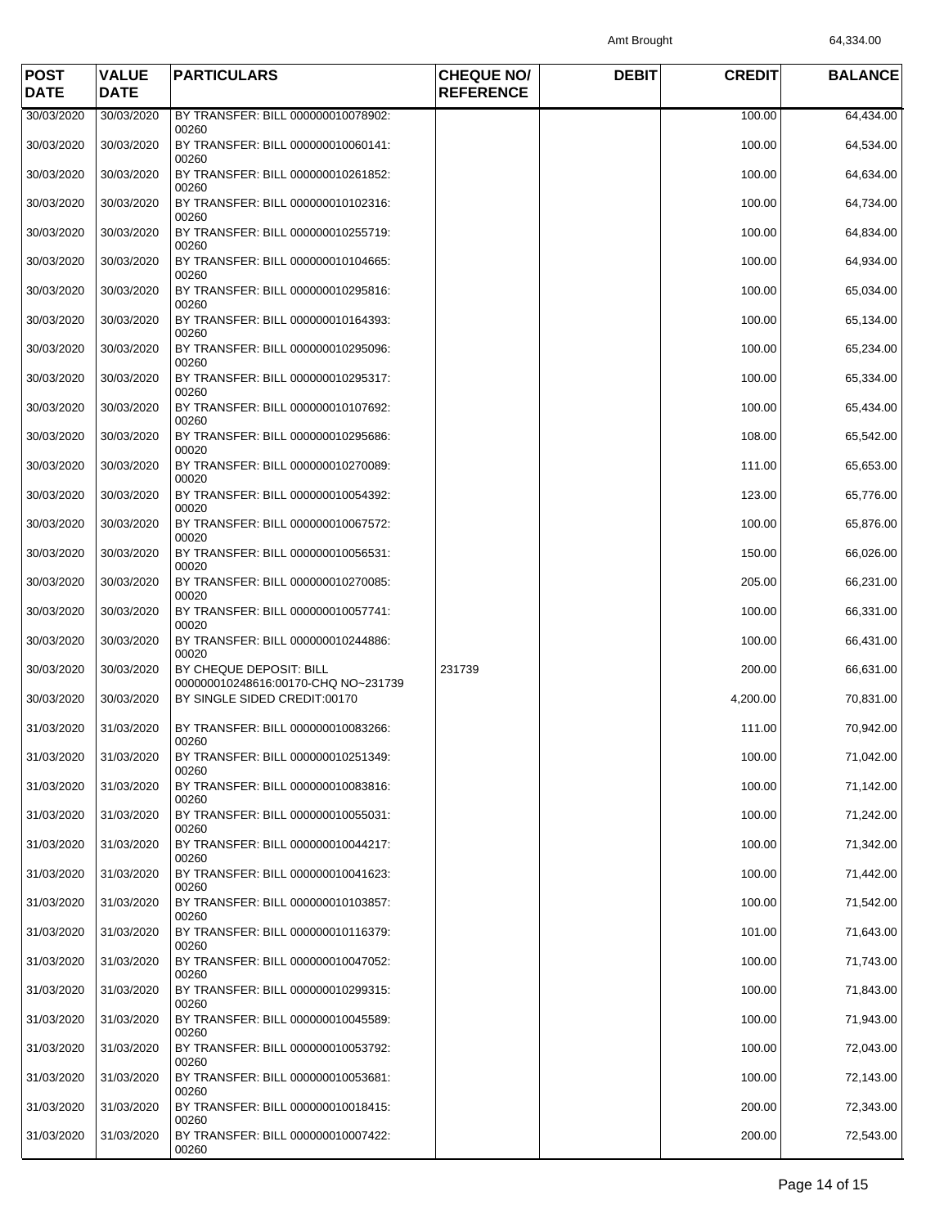Amt Brought 64,334.00

| <b>POST</b><br><b>DATE</b> | <b>VALUE</b><br><b>DATE</b> | <b>PARTICULARS</b>                                             | <b>CHEQUE NO/</b><br><b>REFERENCE</b> | <b>DEBIT</b> | <b>CREDIT</b> | <b>BALANCE</b> |
|----------------------------|-----------------------------|----------------------------------------------------------------|---------------------------------------|--------------|---------------|----------------|
| 30/03/2020                 | 30/03/2020                  | BY TRANSFER: BILL 000000010078902:                             |                                       |              | 100.00        | 64,434.00      |
| 30/03/2020                 | 30/03/2020                  | 00260<br>BY TRANSFER: BILL 000000010060141:<br>00260           |                                       |              | 100.00        | 64,534.00      |
| 30/03/2020                 | 30/03/2020                  | BY TRANSFER: BILL 000000010261852:<br>00260                    |                                       |              | 100.00        | 64,634.00      |
| 30/03/2020                 | 30/03/2020                  | BY TRANSFER: BILL 000000010102316:<br>00260                    |                                       |              | 100.00        | 64,734.00      |
| 30/03/2020                 | 30/03/2020                  | BY TRANSFER: BILL 000000010255719:<br>00260                    |                                       |              | 100.00        | 64,834.00      |
| 30/03/2020                 | 30/03/2020                  | BY TRANSFER: BILL 000000010104665:<br>00260                    |                                       |              | 100.00        | 64,934.00      |
| 30/03/2020                 | 30/03/2020                  | BY TRANSFER: BILL 000000010295816:<br>00260                    |                                       |              | 100.00        | 65,034.00      |
| 30/03/2020                 | 30/03/2020                  | BY TRANSFER: BILL 000000010164393:<br>00260                    |                                       |              | 100.00        | 65,134.00      |
| 30/03/2020                 | 30/03/2020                  | BY TRANSFER: BILL 000000010295096:<br>00260                    |                                       |              | 100.00        | 65,234.00      |
| 30/03/2020                 | 30/03/2020                  | BY TRANSFER: BILL 000000010295317:<br>00260                    |                                       |              | 100.00        | 65,334.00      |
| 30/03/2020                 | 30/03/2020                  | BY TRANSFER: BILL 000000010107692:<br>00260                    |                                       |              | 100.00        | 65,434.00      |
| 30/03/2020                 | 30/03/2020                  | BY TRANSFER: BILL 000000010295686:<br>00020                    |                                       |              | 108.00        | 65,542.00      |
| 30/03/2020                 | 30/03/2020                  | BY TRANSFER: BILL 000000010270089:<br>00020                    |                                       |              | 111.00        | 65,653.00      |
| 30/03/2020                 | 30/03/2020                  | BY TRANSFER: BILL 000000010054392:<br>00020                    |                                       |              | 123.00        | 65,776.00      |
| 30/03/2020                 | 30/03/2020                  | BY TRANSFER: BILL 000000010067572:<br>00020                    |                                       |              | 100.00        | 65,876.00      |
| 30/03/2020                 | 30/03/2020                  | BY TRANSFER: BILL 000000010056531:<br>00020                    |                                       |              | 150.00        | 66,026.00      |
| 30/03/2020                 | 30/03/2020                  | BY TRANSFER: BILL 000000010270085:<br>00020                    |                                       |              | 205.00        | 66,231.00      |
| 30/03/2020                 | 30/03/2020                  | BY TRANSFER: BILL 000000010057741:<br>00020                    |                                       |              | 100.00        | 66,331.00      |
| 30/03/2020                 | 30/03/2020                  | BY TRANSFER: BILL 000000010244886:<br>00020                    |                                       |              | 100.00        | 66,431.00      |
| 30/03/2020                 | 30/03/2020                  | BY CHEQUE DEPOSIT: BILL<br>000000010248616:00170-CHQ NO~231739 | 231739                                |              | 200.00        | 66,631.00      |
| 30/03/2020                 | 30/03/2020                  | BY SINGLE SIDED CREDIT:00170                                   |                                       |              | 4,200.00      | 70,831.00      |
| 31/03/2020                 | 31/03/2020                  | BY TRANSFER: BILL 000000010083266:<br>00260                    |                                       |              | 111.00        | 70,942.00      |
| 31/03/2020                 | 31/03/2020                  | BY TRANSFER: BILL 000000010251349:<br>00260                    |                                       |              | 100.00        | 71,042.00      |
| 31/03/2020                 | 31/03/2020                  | BY TRANSFER: BILL 000000010083816:<br>00260                    |                                       |              | 100.00        | 71,142.00      |
| 31/03/2020                 | 31/03/2020                  | BY TRANSFER: BILL 000000010055031:<br>00260                    |                                       |              | 100.00        | 71,242.00      |
| 31/03/2020                 | 31/03/2020                  | BY TRANSFER: BILL 000000010044217:<br>00260                    |                                       |              | 100.00        | 71,342.00      |
| 31/03/2020                 | 31/03/2020                  | BY TRANSFER: BILL 000000010041623:<br>00260                    |                                       |              | 100.00        | 71,442.00      |
| 31/03/2020                 | 31/03/2020                  | BY TRANSFER: BILL 000000010103857:<br>00260                    |                                       |              | 100.00        | 71,542.00      |
| 31/03/2020                 | 31/03/2020                  | BY TRANSFER: BILL 000000010116379:<br>00260                    |                                       |              | 101.00        | 71,643.00      |
| 31/03/2020                 | 31/03/2020                  | BY TRANSFER: BILL 000000010047052:<br>00260                    |                                       |              | 100.00        | 71,743.00      |
| 31/03/2020                 | 31/03/2020                  | BY TRANSFER: BILL 000000010299315:<br>00260                    |                                       |              | 100.00        | 71,843.00      |
| 31/03/2020                 | 31/03/2020                  | BY TRANSFER: BILL 000000010045589:<br>00260                    |                                       |              | 100.00        | 71,943.00      |
| 31/03/2020                 | 31/03/2020                  | BY TRANSFER: BILL 000000010053792:<br>00260                    |                                       |              | 100.00        | 72,043.00      |
| 31/03/2020                 | 31/03/2020                  | BY TRANSFER: BILL 000000010053681:<br>00260                    |                                       |              | 100.00        | 72,143.00      |
| 31/03/2020                 | 31/03/2020                  | BY TRANSFER: BILL 000000010018415:<br>00260                    |                                       |              | 200.00        | 72,343.00      |
| 31/03/2020                 | 31/03/2020                  | BY TRANSFER: BILL 000000010007422:<br>00260                    |                                       |              | 200.00        | 72,543.00      |